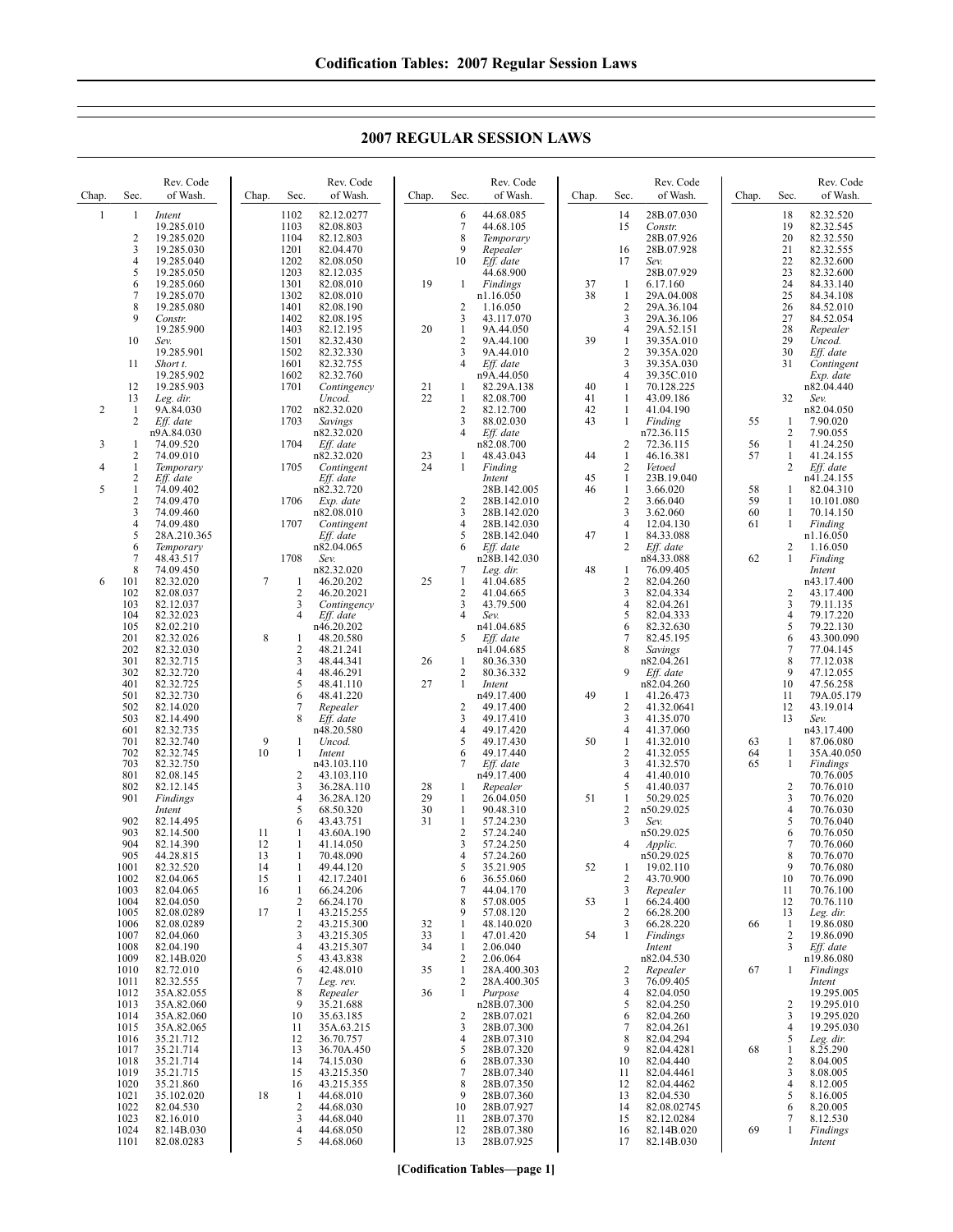| Chap.        | Sec.                                      | Rev. Code<br>of Wash.              | Chap.    | Sec.                 | Rev. Code<br>of Wash.                | Chap.    | Sec.                | Rev. Code<br>of Wash.               | Chap.    | Sec.                           | Rev. Code<br>of Wash.               | Chap.    | Sec.                | Rev. Code<br>of Wash.               |
|--------------|-------------------------------------------|------------------------------------|----------|----------------------|--------------------------------------|----------|---------------------|-------------------------------------|----------|--------------------------------|-------------------------------------|----------|---------------------|-------------------------------------|
| $\mathbf{1}$ | 1<br>$\overline{2}$                       | Intent<br>19.285.010<br>19.285.020 |          | 1102<br>1103<br>1104 | 82.12.0277<br>82.08.803<br>82.12.803 |          | 6<br>7<br>8         | 44.68.085<br>44.68.105<br>Temporary |          | 14<br>15                       | 28B.07.030<br>Constr.<br>28B.07.926 |          | 18<br>19<br>20      | 82.32.520<br>82.32.545<br>82.32.550 |
|              | 3<br>$\overline{4}$                       | 19.285.030<br>19.285.040           |          | 1201<br>1202         | 82.04.470<br>82.08.050               |          | 9<br>10             | Repealer<br>Eff. date               |          | 16<br>17                       | 28B.07.928<br>Sev.                  |          | 21<br>22            | 82.32.555<br>82.32.600              |
|              | 5                                         | 19.285.050                         |          | 1203                 | 82.12.035                            |          |                     | 44.68.900                           |          |                                | 28B.07.929                          |          | 23                  | 82.32.600                           |
|              | 6<br>7                                    | 19.285.060<br>19.285.070           |          | 1301<br>1302         | 82.08.010<br>82.08.010               | 19       | 1                   | Findings<br>n1.16.050               | 37<br>38 | -1<br>$\mathbf{1}$             | 6.17.160<br>29A.04.008              |          | 24<br>25            | 84.33.140<br>84.34.108              |
|              | $\,$ 8 $\,$<br>9                          | 19.285.080<br>Constr.              |          | 1401<br>1402         | 82.08.190<br>82.08.195               |          | 2<br>3              | 1.16.050<br>43.117.070              |          | $\overline{2}$<br>3            | 29A.36.104<br>29A.36.106            |          | 26<br>27            | 84.52.010<br>84.52.054              |
|              |                                           | 19.285.900                         |          | 1403                 | 82.12.195                            | 20       | 1                   | 9A.44.050                           |          | 4                              | 29A.52.151                          |          | 28                  | Repealer                            |
|              | 10                                        | Sev.<br>19.285.901                 |          | 1501<br>1502         | 82.32.430<br>82.32.330               |          | 2<br>3              | 9A.44.100<br>9A.44.010              | 39       | $\mathbf{1}$<br>$\overline{c}$ | 39.35A.010<br>39.35A.020            |          | 29<br>30            | Uncod.<br>Eff. date                 |
|              | 11                                        | Short t.<br>19.285.902             |          | 1601<br>1602         | 82.32.755<br>82.32.760               |          | 4                   | Eff. date<br>n9A.44.050             |          | 3<br>$\overline{4}$            | 39.35A.030<br>39.35C.010            |          | 31                  | Contingent<br>Exp. date             |
|              | 12                                        | 19.285.903                         |          | 1701                 | Contingency                          | 21<br>22 | 1                   | 82.29A.138                          | 40       | -1                             | 70.128.225                          |          |                     | n82.04.440                          |
| 2            | 13<br>$\mathbf{1}$                        | Leg. dir.<br>9A.84.030             |          | 1702                 | Uncod.<br>n82.32.020                 |          | 1<br>2              | 82.08.700<br>82.12.700              | 41<br>42 | -1<br>$\mathbf{1}$             | 43.09.186<br>41.04.190              |          | 32                  | Sev.<br>n82.04.050                  |
|              | 2                                         | Eff. date<br>n9A.84.030            |          | 1703                 | Savings<br>n82.32.020                |          | 3<br>4              | 88.02.030<br>Eff. date              | 43       | -1                             | Finding<br>n72.36.115               | 55       | 1<br>2              | 7.90.020<br>7.90.055                |
| 3            | 1<br>$\overline{c}$                       | 74.09.520<br>74.09.010             |          | 1704                 | Eff. date<br>n82.32.020              | 23       | 1                   | n82.08.700<br>48.43.043             | 44       | 2<br>$\mathbf{1}$              | 72.36.115<br>46.16.381              | 56<br>57 | 1<br>1              | 41.24.250<br>41.24.155              |
| 4            | 1                                         | Temporary                          |          | 1705                 | Contingent                           | 24       | 1                   | Finding                             |          | 2                              | Vetoed                              |          | 2                   | Eff. date                           |
| 5            | $\overline{c}$<br>$\mathbf{1}$            | Eff. date<br>74.09.402             |          |                      | Eff. date<br>n82.32.720              |          |                     | Intent<br>28B.142.005               | 45<br>46 | 1<br>$\mathbf{1}$              | 23B.19.040<br>3.66.020              | 58       | 1                   | n41.24.155<br>82.04.310             |
|              | $\overline{2}$<br>$\overline{\mathbf{3}}$ | 74.09.470<br>74.09.460             |          | 1706                 | Exp. date<br>n82.08.010              |          | $\overline{c}$<br>3 | 28B.142.010<br>28B.142.020          |          | 2<br>3                         | 3.66.040<br>3.62.060                | 59<br>60 | 1<br>1              | 10.101.080<br>70.14.150             |
|              | $\overline{4}$<br>5                       | 74.09.480<br>28A.210.365           |          | 1707                 | Contingent<br>Eff. date              |          | 4<br>5              | 28B.142.030<br>28B.142.040          | 47       | 4<br>1                         | 12.04.130<br>84.33.088              | 61       | 1                   | Finding<br>n1.16.050                |
|              | 6                                         | Temporary                          |          |                      | n82.04.065                           |          | 6                   | Eff. date                           |          | 2                              | Eff. date                           |          | 2                   | 1.16.050                            |
|              | 7<br>8                                    | 48.43.517<br>74.09.450             |          | 1708                 | Sev.<br>n82.32.020                   |          | 7                   | n28B.142.030<br>Leg. dir.           | 48       | -1                             | n84.33.088<br>76.09.405             | 62       | 1                   | Finding<br>Intent                   |
| 6            | 101<br>102                                | 82.32.020<br>82.08.037             | 7        | 1<br>$\overline{c}$  | 46.20.202<br>46.20.2021              | 25       | $\mathbf{1}$<br>2   | 41.04.685<br>41.04.665              |          | $\sqrt{2}$<br>3                | 82.04.260<br>82.04.334              |          | 2                   | n43.17.400<br>43.17.400             |
|              | 103                                       | 82.12.037                          |          | 3<br>4               | Contingency                          |          | 3<br>4              | 43.79.500                           |          | $\overline{4}$                 | 82.04.261                           |          | 3                   | 79.11.135                           |
|              | 104<br>105                                | 82.32.023<br>82.02.210             |          |                      | Eff. date<br>n46.20.202              |          |                     | Sev.<br>n41.04.685                  |          | 5<br>6                         | 82.04.333<br>82.32.630              |          | $\overline{4}$<br>5 | 79.17.220<br>79.22.130              |
|              | 201<br>202                                | 82.32.026<br>82.32.030             | 8        | 1<br>2               | 48.20.580<br>48.21.241               |          | 5                   | Eff. date<br>n41.04.685             |          | 7<br>8                         | 82.45.195<br>Savings                |          | 6<br>7              | 43.300.090<br>77.04.145             |
|              | 301<br>302                                | 82.32.715<br>82.32.720             |          | 3<br>4               | 48.44.341<br>48.46.291               | 26       | 1<br>2              | 80.36.330<br>80.36.332              |          | 9                              | n82.04.261<br>Eff. date             |          | 8<br>9              | 77.12.038<br>47.12.055              |
|              | 401                                       | 82.32.725                          |          | 5                    | 48.41.110                            | 27       | $\mathbf{1}$        | Intent                              |          |                                | n82.04.260                          |          | 10                  | 47.56.258                           |
|              | 501<br>502                                | 82.32.730<br>82.14.020             |          | 6<br>7               | 48.41.220<br>Repealer                |          | 2                   | n49.17.400<br>49.17.400             | 49       | -1<br>2                        | 41.26.473<br>41.32.0641             |          | 11<br>12            | 79A.05.179<br>43.19.014             |
|              | 503<br>601                                | 82.14.490<br>82.32.735             |          | 8                    | Eff. date<br>n48.20.580              |          | 3<br>4              | 49.17.410<br>49.17.420              |          | 3<br>4                         | 41.35.070<br>41.37.060              |          | 13                  | Sev.<br>n43.17.400                  |
|              | 701<br>702                                | 82.32.740<br>82.32.745             | 9<br>10  | 1<br>1               | Uncod.<br>Intent                     |          | 5<br>6              | 49.17.430<br>49.17.440              | 50       | -1<br>$\overline{c}$           | 41.32.010<br>41.32.055              | 63<br>64 | 1<br>1              | 87.06.080<br>35A.40.050             |
|              | 703                                       | 82.32.750                          |          |                      | n43.103.110                          |          | 7                   | Eff. date                           |          | $\overline{\mathbf{3}}$        | 41.32.570                           | 65       | 1                   | Findings                            |
|              | 801<br>802                                | 82.08.145<br>82.12.145             |          | 2<br>3               | 43.103.110<br>36.28A.110             | 28       | 1                   | n49.17.400<br>Repealer              |          | $\overline{4}$<br>5            | 41.40.010<br>41.40.037              |          | $\overline{c}$      | 70.76.005<br>70.76.010              |
|              | 901                                       | Findings<br>Intent                 |          | 4<br>5               | 36.28A.120<br>68.50.320              | 29<br>30 | 1<br>$\mathbf{1}$   | 26.04.050<br>90.48.310              | 51       | -1<br>2                        | 50.29.025<br>n50.29.025             |          | 3<br>$\overline{4}$ | 70.76.020<br>70.76.030              |
|              | 902<br>903                                | 82.14.495<br>82.14.500             | 11       | 6<br>1               | 43.43.751<br>43.60A.190              | 31       | $\mathbf{1}$<br>2   | 57.24.230<br>57.24.240              |          | 3                              | Sev.<br>n50.29.025                  |          | 5<br>6              | 70.76.040<br>70.76.050              |
|              | 904                                       | 82.14.390                          | 12       | 1                    | 41.14.050                            |          | 3                   | 57.24.250                           |          | $\overline{4}$                 | <i>Applic.</i>                      |          | 7                   | 70.76.060                           |
|              | 905<br>1001                               | 44.28.815<br>82.32.520             | 13<br>14 | 1<br>1               | 70.48.090<br>49.44.120               |          | 4<br>5              | 57.24.260<br>35.21.905              | 52       | -1                             | n50.29.025<br>19.02.110             |          | 8<br>9              | 70.76.070<br>70.76.080              |
|              | 1002<br>1003                              | 82.04.065<br>82.04.065             | 15<br>16 | 1<br>$\mathbf{1}$    | 42.17.2401<br>66.24.206              |          | 6<br>7              | 36.55.060<br>44.04.170              |          | $\overline{2}$<br>3            | 43.70.900<br>Repealer               |          | 10<br>11            | 70.76.090<br>70.76.100              |
|              | 1004<br>1005                              | 82.04.050<br>82.08.0289            | 17       | 2<br>$\mathbf{1}$    | 66.24.170<br>43.215.255              |          | 8<br>9              | 57.08.005<br>57.08.120              | 53       | 1<br>$\sqrt{2}$                | 66.24.400<br>66.28.200              |          | 12<br>13            | 70.76.110<br>Leg. dir.              |
|              | 1006                                      | 82.08.0289                         |          | $\overline{c}$       | 43.215.300                           | 32       | 1                   | 48.140.020                          |          | 3                              | 66.28.220                           | 66       | 1                   | 19.86.080                           |
|              | 1007<br>1008                              | 82.04.060<br>82.04.190             |          | 3<br>4               | 43.215.305<br>43.215.307             | 33<br>34 | 1<br>$\mathbf{1}$   | 47.01.420<br>2.06.040               | 54       | 1                              | Findings<br>Intent                  |          | 2<br>3              | 19.86.090<br>Eff. date              |
|              | 1009<br>1010                              | 82.14B.020<br>82.72.010            |          | 5<br>6               | 43.43.838<br>42.48.010               | 35       | 2<br>$\mathbf{1}$   | 2.06.064<br>28A.400.303             |          | $\overline{c}$                 | n82.04.530<br>Repealer              | 67       | $\mathbf{1}$        | n19.86.080<br>Findings              |
|              | 1011<br>1012                              | 82.32.555<br>35A.82.055            |          | 7<br>8               | Leg. rev.<br>Repealer                | 36       | 2<br>$\mathbf{1}$   | 28A.400.305<br>Purpose              |          | 3<br>$\overline{4}$            | 76.09.405<br>82.04.050              |          |                     | Intent<br>19.295.005                |
|              | 1013                                      | 35A.82.060                         |          | 9                    | 35.21.688                            |          |                     | n28B.07.300                         |          | 5                              | 82.04.250                           |          | 2                   | 19.295.010                          |
|              | 1014<br>1015                              | 35A.82.060<br>35A.82.065           |          | 10<br>11             | 35.63.185<br>35A.63.215              |          | 2<br>3              | 28B.07.021<br>28B.07.300            |          | 6<br>7                         | 82.04.260<br>82.04.261              |          | 3<br>$\overline{4}$ | 19.295.020<br>19.295.030            |
|              | 1016<br>1017                              | 35.21.712<br>35.21.714             |          | 12<br>13             | 36.70.757<br>36.70A.450              |          | 4<br>5              | 28B.07.310<br>28B.07.320            |          | 8<br>9                         | 82.04.294<br>82.04.4281             | 68       | 5<br>$\mathbf{1}$   | Leg. dir.<br>8.25.290               |
|              | 1018<br>1019                              | 35.21.714<br>35.21.715             |          | 14<br>15             | 74.15.030<br>43.215.350              |          | 6<br>7              | 28B.07.330<br>28B.07.340            |          | 10<br>11                       | 82.04.440<br>82.04.4461             |          | 2<br>3              | 8.04.005<br>8.08.005                |
|              | 1020                                      | 35.21.860                          |          | 16                   | 43.215.355                           |          | 8                   | 28B.07.350                          |          | 12                             | 82.04.4462                          |          | $\overline{4}$      | 8.12.005                            |
|              | 1021<br>1022                              | 35.102.020<br>82.04.530            | 18       | 1<br>$\overline{c}$  | 44.68.010<br>44.68.030               |          | 9<br>10             | 28B.07.360<br>28B.07.927            |          | 13<br>14                       | 82.04.530<br>82.08.02745            |          | 5<br>6              | 8.16.005<br>8.20.005                |
|              | 1023<br>1024                              | 82.16.010<br>82.14B.030            |          | 3<br>4               | 44.68.040<br>44.68.050               |          | 11<br>12            | 28B.07.370<br>28B.07.380            |          | 15<br>16                       | 82.12.0284<br>82.14B.020            | 69       | 7<br>1              | 8.12.530<br>Findings                |
|              | 1101                                      | 82.08.0283                         |          | 5                    | 44.68.060                            |          | 13                  | 28B.07.925                          |          | 17                             | 82.14B.030                          |          |                     | Intent                              |

## **2007 REGULAR SESSION LAWS**

**[Codification Tables—page 1]**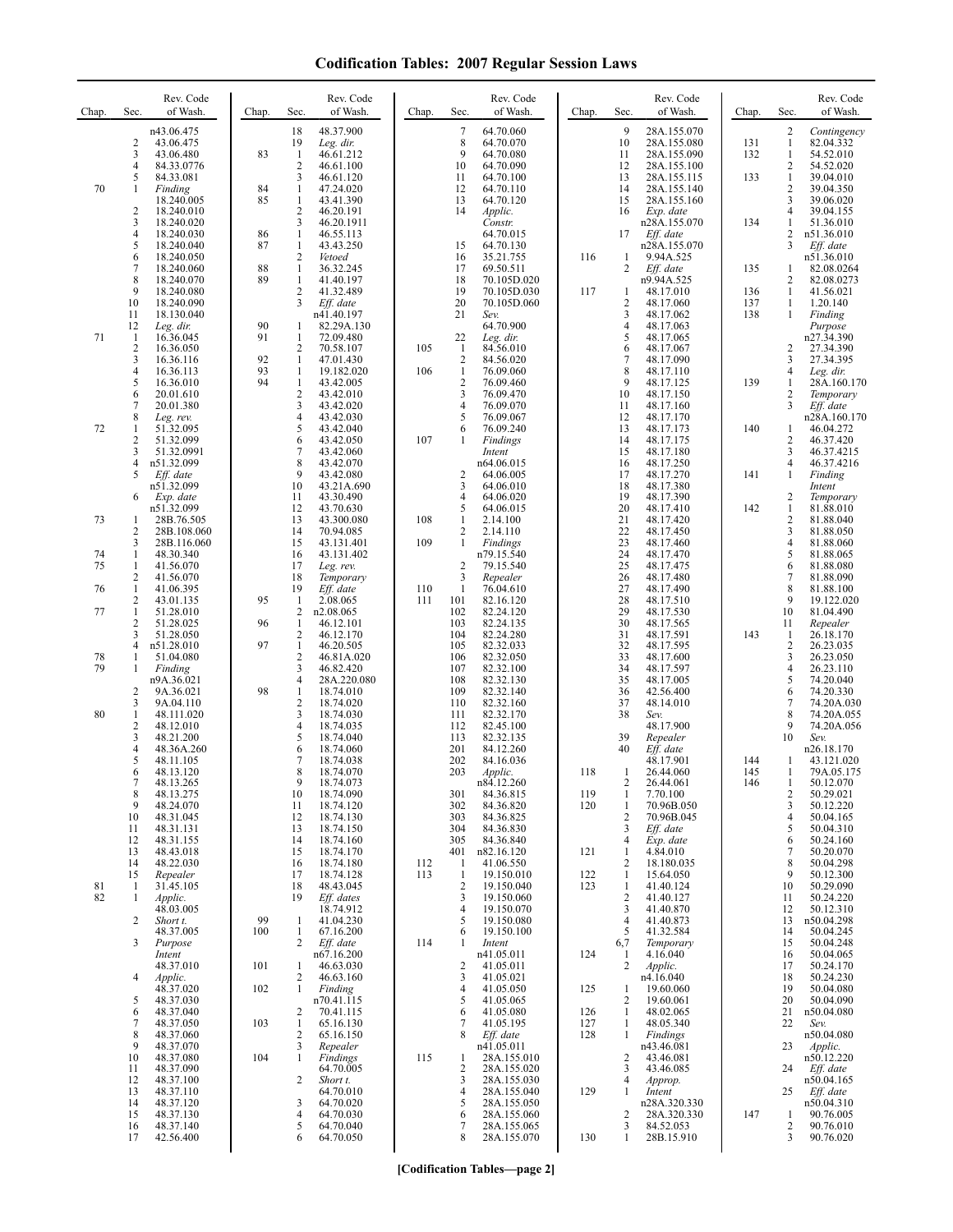| Chap.          | Sec.                                                             | Rev. Code<br>of Wash.                                              | Chap.          | Sec.                                                   | Rev. Code<br>of Wash.                                            | Chap.      | Sec.                                                   | Rev. Code<br>of Wash.                                                   | Chap.             | Sec.                                            | Rev. Code<br>of Wash.                                                   | Chap.             | Sec.                                                     | Rev. Code<br>of Wash.                                              |
|----------------|------------------------------------------------------------------|--------------------------------------------------------------------|----------------|--------------------------------------------------------|------------------------------------------------------------------|------------|--------------------------------------------------------|-------------------------------------------------------------------------|-------------------|-------------------------------------------------|-------------------------------------------------------------------------|-------------------|----------------------------------------------------------|--------------------------------------------------------------------|
|                | 2<br>3<br>$\overline{4}$                                         | n43.06.475<br>43.06.475<br>43.06.480<br>84.33.0776                 | 83             | 18<br>19<br>-1<br>$\overline{2}$                       | 48.37.900<br>Leg. dir.<br>46.61.212<br>46.61.100                 |            | $\tau$<br>8<br>9<br>10                                 | 64.70.060<br>64.70.070<br>64.70.080<br>64.70.090                        |                   | 9<br>10<br>11<br>12                             | 28A.155.070<br>28A.155.080<br>28A.155.090<br>28A.155.100                | 131<br>132        | $\overline{c}$<br>1<br>1<br>2                            | Contingency<br>82.04.332<br>54.52.010<br>54.52.020                 |
| 70             | 5<br>1<br>2                                                      | 84.33.081<br>Finding<br>18.240.005<br>18.240.010                   | 84<br>85       | 3<br>$\mathbf{1}$<br>$\mathbf{1}$<br>$\sqrt{2}$<br>3   | 46.61.120<br>47.24.020<br>43.41.390<br>46.20.191                 |            | 11<br>12<br>13<br>14                                   | 64.70.100<br>64.70.110<br>64.70.120<br>Applic.                          |                   | 13<br>14<br>15<br>16                            | 28A.155.115<br>28A.155.140<br>28A.155.160<br>Exp. date                  | 133               | $\mathbf{1}$<br>$\overline{c}$<br>3<br>4                 | 39.04.010<br>39.04.350<br>39.06.020<br>39.04.155                   |
|                | 3<br>$\overline{4}$<br>5<br>6<br>$\overline{7}$                  | 18.240.020<br>18.240.030<br>18.240.040<br>18.240.050<br>18.240.060 | 86<br>87<br>88 | $\mathbf{1}$<br>1<br>$\sqrt{2}$<br>$\mathbf{1}$        | 46.20.1911<br>46.55.113<br>43.43.250<br>Vetoed<br>36.32.245      |            | 15<br>16<br>17                                         | Constr.<br>64.70.015<br>64.70.130<br>35.21.755<br>69.50.511             | 116               | 17<br>1<br>$\overline{c}$                       | n28A.155.070<br>$Eff.$ date<br>n28A.155.070<br>9.94A.525<br>$Eff.$ date | 134<br>135        | 1<br>2<br>3<br>1                                         | 51.36.010<br>n51.36.010<br>Eff. date<br>n51.36.010<br>82.08.0264   |
|                | 8<br>9<br>10<br>11                                               | 18.240.070<br>18.240.080<br>18.240.090<br>18.130.040               | 89             | $\mathbf{1}$<br>$\overline{2}$<br>3                    | 41.40.197<br>41.32.489<br>Eff. date<br>n41.40.197                |            | 18<br>19<br>20<br>21                                   | 70.105D.020<br>70.105D.030<br>70.105D.060<br>Sev.                       | 117               | 1<br>$\overline{2}$<br>3                        | n9.94A.525<br>48.17.010<br>48.17.060<br>48.17.062                       | 136<br>137<br>138 | 2<br>$\mathbf{1}$<br>$\mathbf{1}$<br>$\mathbf{1}$        | 82.08.0273<br>41.56.021<br>1.20.140<br>Finding                     |
| 71             | 12<br>$\mathbf{1}$<br>$\sqrt{2}$<br>3                            | Leg. dir.<br>16.36.045<br>16.36.050<br>16.36.116                   | 90<br>91<br>92 | 1<br>$\mathbf{1}$<br>2<br>$\mathbf{1}$                 | 82.29A.130<br>72.09.480<br>70.58.107<br>47.01.430                | 105        | 22<br>-1<br>$\sqrt{2}$                                 | 64.70.900<br>Leg. dir.<br>84.56.010<br>84.56.020                        |                   | $\overline{4}$<br>5<br>6<br>$\boldsymbol{7}$    | 48.17.063<br>48.17.065<br>48.17.067<br>48.17.090                        |                   | 2<br>3                                                   | Purpose<br>n27.34.390<br>27.34.390<br>27.34.395                    |
|                | $\overline{4}$<br>5<br>6<br>7                                    | 16.36.113<br>16.36.010<br>20.01.610<br>20.01.380                   | 93<br>94       | 1<br>$\mathbf{1}$<br>$\sqrt{2}$<br>3<br>$\overline{4}$ | 19.182.020<br>43.42.005<br>43.42.010<br>43.42.020                | 106        | $\mathbf{1}$<br>$\sqrt{2}$<br>3<br>4                   | 76.09.060<br>76.09.460<br>76.09.470<br>76.09.070                        |                   | 8<br>9<br>10<br>11                              | 48.17.110<br>48.17.125<br>48.17.150<br>48.17.160                        | 139               | 4<br>1<br>2<br>3                                         | Leg. dir.<br>28A.160.170<br>Temporary<br>Eff. date                 |
| 72             | 8<br>1<br>$\overline{2}$<br>3<br>$\overline{4}$                  | Leg. rev.<br>51.32.095<br>51.32.099<br>51.32.0991<br>n51.32.099    |                | 5<br>6<br>$\tau$<br>8                                  | 43.42.030<br>43.42.040<br>43.42.050<br>43.42.060<br>43.42.070    | 107        | 5<br>6<br>1                                            | 76.09.067<br>76.09.240<br>Findings<br>Intent<br>n64.06.015              |                   | 12<br>13<br>14<br>15<br>16                      | 48.17.170<br>48.17.173<br>48.17.175<br>48.17.180<br>48.17.250           | 140               | 1<br>2<br>3<br>4                                         | n28A.160.170<br>46.04.272<br>46.37.420<br>46.37.4215<br>46.37.4216 |
|                | 5<br>6                                                           | Eff. date<br>n51.32.099<br>Exp. date<br>n51.32.099                 |                | 9<br>10<br>11<br>12                                    | 43.42.080<br>43.21A.690<br>43.30.490<br>43.70.630                |            | 2<br>3<br>4<br>5                                       | 64.06.005<br>64.06.010<br>64.06.020<br>64.06.015                        |                   | 17<br>18<br>19<br>20                            | 48.17.270<br>48.17.380<br>48.17.390<br>48.17.410                        | 141<br>142        | 1<br>2<br>$\mathbf{1}$                                   | Finding<br>Intent<br>Temporary<br>81.88.010                        |
| 73<br>74<br>75 | 1<br>$\overline{2}$<br>3<br>1<br>1                               | 28B.76.505<br>28B.108.060<br>28B.116.060<br>48.30.340<br>41.56.070 |                | 13<br>14<br>15<br>16<br>17                             | 43.300.080<br>70.94.085<br>43.131.401<br>43.131.402<br>Leg. rev. | 108<br>109 | 1<br>$\overline{2}$<br>$\mathbf{1}$<br>$\overline{c}$  | 2.14.100<br>2.14.110<br>Findings<br>n79.15.540<br>79.15.540             |                   | 21<br>22<br>23<br>24<br>25                      | 48.17.420<br>48.17.450<br>48.17.460<br>48.17.470<br>48.17.475           |                   | $\overline{c}$<br>3<br>$\overline{\mathbf{4}}$<br>5<br>6 | 81.88.040<br>81.88.050<br>81.88.060<br>81.88.065<br>81.88.080      |
| 76<br>77       | $\overline{c}$<br>$\mathbf{1}$<br>$\overline{2}$<br>$\mathbf{1}$ | 41.56.070<br>41.06.395<br>43.01.135<br>51.28.010                   | 95             | 18<br>19<br>-1<br>$\overline{2}$                       | Temporary<br>Eff. date<br>2.08.065<br>n2.08.065                  | 110<br>111 | 3<br>-1<br>101<br>102                                  | Repealer<br>76.04.610<br>82.16.120<br>82.24.120                         |                   | 26<br>27<br>28<br>29                            | 48.17.480<br>48.17.490<br>48.17.510<br>48.17.530                        |                   | $\tau$<br>8<br>9<br>10                                   | 81.88.090<br>81.88.100<br>19.122.020<br>81.04.490                  |
| 78<br>79       | 2<br>3<br>$\overline{4}$<br>1                                    | 51.28.025<br>51.28.050<br>n51.28.010<br>51.04.080                  | 96<br>97       | -1<br>$\overline{c}$<br>$\mathbf{1}$<br>$\overline{c}$ | 46.12.101<br>46.12.170<br>46.20.505<br>46.81A.020                |            | 103<br>104<br>105<br>106                               | 82.24.135<br>82.24.280<br>82.32.033<br>82.32.050                        |                   | 30<br>31<br>32<br>33                            | 48.17.565<br>48.17.591<br>48.17.595<br>48.17.600                        | 143               | 11<br>1<br>$\overline{c}$<br>3<br>4                      | Repealer<br>26.18.170<br>26.23.035<br>26.23.050                    |
| 80             | 1<br>$\overline{\mathbf{c}}$<br>3<br>1                           | Finding<br>n9A.36.021<br>9A.36.021<br>9A.04.110<br>48.111.020      | 98             | 3<br>4<br>$\mathbf{1}$<br>$\mathbf{2}$<br>3            | 46.82.420<br>28A.220.080<br>18.74.010<br>18.74.020<br>18.74.030  |            | 107<br>108<br>109<br>110<br>111                        | 82.32.100<br>82.32.130<br>82.32.140<br>82.32.160<br>82.32.170           |                   | 34<br>35<br>36<br>37<br>38                      | 48.17.597<br>48.17.005<br>42.56.400<br>48.14.010<br>Sev.                |                   | 5<br>6<br>7<br>8                                         | 26.23.110<br>74.20.040<br>74.20.330<br>74.20A.030<br>74.20A.055    |
|                | $\overline{2}$<br>3<br>$\overline{4}$<br>5                       | 48.12.010<br>48.21.200<br>48.36A.260<br>48.11.105                  |                | 4<br>5<br>6<br>7                                       | 18.74.035<br>18.74.040<br>18.74.060<br>18.74.038                 |            | 112<br>113<br>201<br>202                               | 82.45.100<br>82.32.135<br>84.12.260<br>84.16.036                        |                   | 39<br>40                                        | 48.17.900<br>Repealer<br>Eff. date<br>48.17.901                         | 144               | 9<br>10<br>1                                             | 74.20A.056<br>Sev.<br>n26.18.170<br>43.121.020                     |
|                | 6<br>7<br>8<br>9<br>10                                           | 48.13.120<br>48.13.265<br>48.13.275<br>48.24.070<br>48.31.045      |                | 8<br>9<br>10<br>11<br>12                               | 18.74.070<br>18.74.073<br>18.74.090<br>18.74.120<br>18.74.130    |            | 203<br>301<br>302<br>303                               | Applic.<br>n84.12.260<br>84.36.815<br>84.36.820<br>84.36.825            | 118<br>119<br>120 | 1<br>2<br>-1<br>1<br>$\overline{2}$             | 26.44.060<br>26.44.061<br>7.70.100<br>70.96B.050<br>70.96B.045          | 145<br>146        | $\mathbf{1}$<br>$\mathbf{1}$<br>$\sqrt{2}$<br>3<br>4     | 79A.05.175<br>50.12.070<br>50.29.021<br>50.12.220<br>50.04.165     |
|                | 11<br>12<br>13<br>14                                             | 48.31.131<br>48.31.155<br>48.43.018<br>48.22.030                   |                | 13<br>14<br>15<br>16                                   | 18.74.150<br>18.74.160<br>18.74.170<br>18.74.180                 | 112        | 304<br>305<br>401<br>1                                 | 84.36.830<br>84.36.840<br>n82.16.120<br>41.06.550                       | 121               | 3<br>4<br>-1<br>2                               | Eff. date<br>Exp. date<br>4.84.010<br>18.180.035                        |                   | 5<br>6<br>7<br>8                                         | 50.04.310<br>50.24.160<br>50.20.070<br>50.04.298                   |
| 81<br>82       | 15<br>-1<br>1<br>2                                               | Repealer<br>31.45.105<br>Applic.<br>48.03.005<br>Short t.          | 99             | 17<br>18<br>19<br>$\mathbf{1}$                         | 18.74.128<br>48.43.045<br>Eff. dates<br>18.74.912<br>41.04.230   | 113        | $\mathbf{1}$<br>$\overline{\mathbf{c}}$<br>3<br>4<br>5 | 19.150.010<br>19.150.040<br>19.150.060<br>19.150.070<br>19.150.080      | 122<br>123        | 1<br>1<br>$\overline{c}$<br>3<br>$\overline{4}$ | 15.64.050<br>41.40.124<br>41.40.127<br>41.40.870<br>41.40.873           |                   | 9<br>10<br>11<br>12<br>13                                | 50.12.300<br>50.29.090<br>50.24.220<br>50.12.310<br>n50.04.298     |
|                | 3                                                                | 48.37.005<br>Purpose<br>Intent<br>48.37.010                        | 100<br>101     | $\mathbf{1}$<br>$\overline{2}$<br>1                    | 67.16.200<br>Eff. date<br>n67.16.200<br>46.63.030                | 114        | 6<br>1<br>2                                            | 19.150.100<br>Intent<br>n41.05.011<br>41.05.011                         | 124               | 5<br>6,7<br>-1<br>$\overline{2}$                | 41.32.584<br>Temporary<br>4.16.040<br>Applic.                           |                   | 14<br>15<br>16<br>17                                     | 50.04.245<br>50.04.248<br>50.04.065<br>50.24.170                   |
|                | 4<br>5<br>6<br>$\tau$                                            | Applic.<br>48.37.020<br>48.37.030<br>48.37.040<br>48.37.050        | 102<br>103     | $\overline{2}$<br>1<br>2<br>$\mathbf{1}$               | 46.63.160<br>Finding<br>n70.41.115<br>70.41.115<br>65.16.130     |            | 3<br>4<br>5<br>6<br>7                                  | 41.05.021<br>41.05.050<br>41.05.065<br>41.05.080<br>41.05.195           | 125<br>126<br>127 | 1<br>$\overline{2}$<br>1<br>1                   | n4.16.040<br>19.60.060<br>19.60.061<br>48.02.065<br>48.05.340           |                   | 18<br>19<br>20<br>21<br>22                               | 50.24.230<br>50.04.080<br>50.04.090<br>n50.04.080<br>Sev.          |
|                | $\,$ 8 $\,$<br>9<br>10<br>11                                     | 48.37.060<br>48.37.070<br>48.37.080<br>48.37.090                   | 104            | 2<br>3<br>1                                            | 65.16.150<br>Repealer<br>Findings<br>64.70.005                   | 115        | 8<br>1<br>$\overline{2}$                               | Eff. date<br>n41.05.011<br>28A.155.010<br>28A.155.020                   | 128               | 1<br>$\overline{2}$<br>3                        | Findings<br>n43.46.081<br>43.46.081<br>43.46.085                        |                   | 23<br>24                                                 | n50.04.080<br>Applic.<br>n50.12.220<br>Eff. date                   |
|                | 12<br>13<br>14<br>15<br>16                                       | 48.37.100<br>48.37.110<br>48.37.120<br>48.37.130<br>48.37.140      |                | 2<br>3<br>4<br>5                                       | Short t.<br>64.70.010<br>64.70.020<br>64.70.030<br>64.70.040     |            | 3<br>4<br>5<br>6<br>7                                  | 28A.155.030<br>28A.155.040<br>28A.155.050<br>28A.155.060<br>28A.155.065 | 129               | $\overline{4}$<br>-1<br>2<br>3                  | Approp.<br>Intent<br>n28A.320.330<br>28A.320.330<br>84.52.053           | 147               | 25<br>-1<br>2                                            | n50.04.165<br>Eff. date<br>n50.04.310<br>90.76.005<br>90.76.010    |
|                | 17                                                               | 42.56.400                                                          |                | 6                                                      | 64.70.050                                                        |            | 8                                                      | 28A.155.070                                                             | 130               | 1                                               | 28B.15.910                                                              |                   | 3                                                        | 90.76.020                                                          |

**[Codification Tables—page 2]**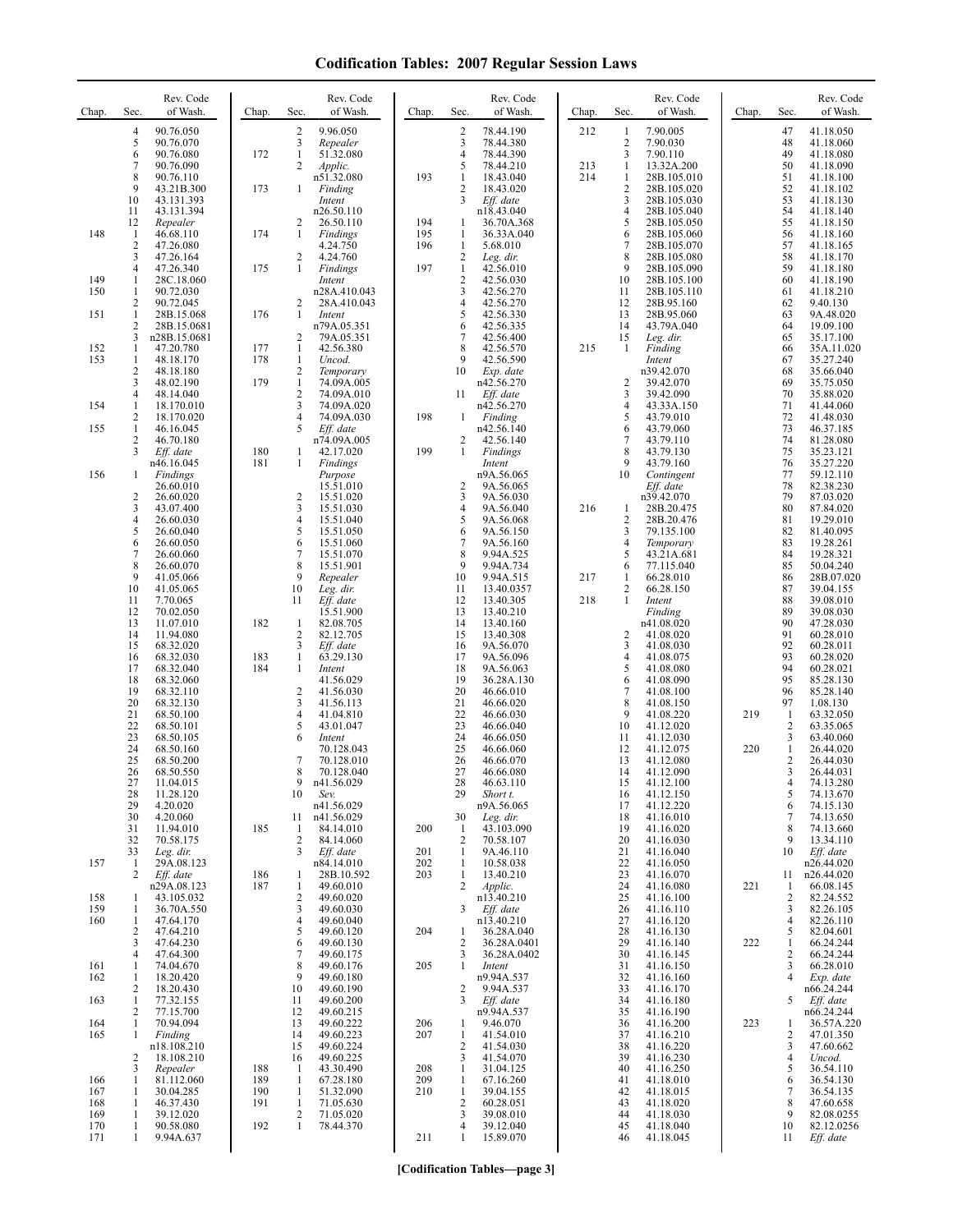| Chap.      | Sec.                    | Rev. Code<br>of Wash.     | Chap.      | Sec.                           | Rev. Code<br>of Wash.    | Chap.      | Sec.                           | Rev. Code<br>of Wash.     | Chap. | Sec.                         | Rev. Code<br>of Wash.      | Chap. | Sec.           | Rev. Code<br>of Wash.     |
|------------|-------------------------|---------------------------|------------|--------------------------------|--------------------------|------------|--------------------------------|---------------------------|-------|------------------------------|----------------------------|-------|----------------|---------------------------|
|            | $\overline{4}$          | 90.76.050                 |            | $\overline{2}$                 | 9.96.050                 |            | $\overline{2}$                 | 78.44.190                 | 212   | 1                            | 7.90.005                   |       | 47             | 41.18.050                 |
|            | 5<br>6                  | 90.76.070<br>90.76.080    | 172        | 3<br>$\mathbf{1}$              | Repealer<br>51.32.080    |            | 3<br>$\overline{4}$            | 78.44.380<br>78.44.390    |       | $\overline{\mathbf{c}}$<br>3 | 7.90.030<br>7.90.110       |       | 48<br>49       | 41.18.060<br>41.18.080    |
|            | 7                       | 90.76.090                 |            | 2                              | Applic.                  |            | 5                              | 78.44.210                 | 213   | 1                            | 13.32A.200                 |       | 50             | 41.18.090                 |
|            | 8<br>9                  | 90.76.110<br>43.21B.300   | 173        | $\mathbf{1}$                   | n51.32.080<br>Finding    | 193        | $\mathbf{1}$<br>$\overline{c}$ | 18.43.040<br>18.43.020    | 214   | 1<br>$\overline{\mathbf{c}}$ | 28B.105.010<br>28B.105.020 |       | 51<br>52       | 41.18.100<br>41.18.102    |
|            | 10                      | 43.131.393                |            |                                | Intent                   |            | 3                              | Eff. date                 |       | 3                            | 28B.105.030                |       | 53             | 41.18.130                 |
|            | 11<br>12                | 43.131.394<br>Repealer    |            | $\overline{2}$                 | n26.50.110<br>26.50.110  | 194        | 1                              | n18.43.040<br>36.70A.368  |       | 4<br>5                       | 28B.105.040<br>28B.105.050 |       | 54<br>55       | 41.18.140<br>41.18.150    |
| 148        | -1                      | 46.68.110                 | 174        | $\mathbf{1}$                   | Findings                 | 195        | 1                              | 36.33A.040                |       | 6                            | 28B.105.060                |       | 56             | 41.18.160                 |
|            | 2<br>3                  | 47.26.080<br>47.26.164    |            | 2                              | 4.24.750<br>4.24.760     | 196        | $\mathbf{1}$<br>$\overline{c}$ | 5.68.010<br>Leg. dir.     |       | 7<br>8                       | 28B.105.070<br>28B.105.080 |       | 57<br>58       | 41.18.165<br>41.18.170    |
|            | 4                       | 47.26.340                 | 175        | 1                              | Findings                 | 197        | $\mathbf{1}$                   | 42.56.010                 |       | 9                            | 28B.105.090                |       | 59             | 41.18.180                 |
| 149<br>150 | 1<br>1                  | 28C.18.060<br>90.72.030   |            |                                | Intent<br>n28A.410.043   |            | $\sqrt{2}$<br>3                | 42.56.030<br>42.56.270    |       | 10<br>11                     | 28B.105.100<br>28B.105.110 |       | 60<br>61       | 41.18.190<br>41.18.210    |
|            | $\overline{\mathbf{c}}$ | 90.72.045                 |            | 2                              | 28A.410.043              |            | 4                              | 42.56.270                 |       | 12                           | 28B.95.160                 |       | 62             | 9.40.130                  |
| 151        | 1<br>2                  | 28B.15.068<br>28B.15.0681 | 176        | $\mathbf{1}$                   | Intent<br>n79A.05.351    |            | 5<br>6                         | 42.56.330<br>42.56.335    |       | 13<br>14                     | 28B.95.060<br>43.79A.040   |       | 63<br>64       | 9A.48.020<br>19.09.100    |
|            | 3                       | n28B.15.0681              |            | 2                              | 79A.05.351               |            | 7                              | 42.56.400                 |       | 15                           | Leg. dir.                  |       | 65             | 35.17.100                 |
| 152<br>153 | 1<br>1                  | 47.20.780<br>48.18.170    | 177<br>178 | $\mathbf{1}$<br>$\mathbf{1}$   | 42.56.380<br>Uncod.      |            | 8<br>9                         | 42.56.570<br>42.56.590    | 215   | 1                            | Finding<br>Intent          |       | 66<br>67       | 35A.11.020<br>35.27.240   |
|            | 2                       | 48.18.180                 |            | $\overline{2}$                 | Temporary<br>74.09A.005  |            | 10                             | Exp. date                 |       |                              | n39.42.070                 |       | 68             | 35.66.040                 |
|            | 3<br>4                  | 48.02.190<br>48.14.040    | 179        | $\mathbf{1}$<br>$\overline{2}$ | 74.09A.010               |            | 11                             | n42.56.270<br>Eff. date   |       | $\overline{c}$<br>3          | 39.42.070<br>39.42.090     |       | 69<br>70       | 35.75.050<br>35.88.020    |
| 154        | 1<br>2                  | 18.170.010<br>18.170.020  |            | 3<br>$\overline{4}$            | 74.09A.020<br>74.09A.030 | 198        | 1                              | n42.56.270<br>Finding     |       | 4<br>5                       | 43.33A.150<br>43.79.010    |       | 71<br>72       | 41.44.060<br>41.48.030    |
| 155        | 1                       | 46.16.045                 |            | 5                              | Eff. date                |            |                                | n42.56.140                |       | 6                            | 43.79.060                  |       | 73             | 46.37.185                 |
|            | 2<br>3                  | 46.70.180<br>Eff. date    | 180        | $\mathbf{1}$                   | n74.09A.005<br>42.17.020 | 199        | 2<br>$\mathbf{1}$              | 42.56.140<br>Findings     |       | $\tau$<br>8                  | 43.79.110<br>43.79.130     |       | 74<br>75       | 81.28.080<br>35.23.121    |
|            |                         | n46.16.045                | 181        | $\mathbf{1}$                   | Findings                 |            |                                | Intent                    |       | 9                            | 43.79.160                  |       | 76             | 35.27.220                 |
| 156        | 1                       | Findings<br>26.60.010     |            |                                | Purpose<br>15.51.010     |            | 2                              | n9A.56.065<br>9A.56.065   |       | 10                           | Contingent<br>Eff. date    |       | 77<br>78       | 59.12.110<br>82.38.230    |
|            | 2                       | 26.60.020                 |            | 2                              | 15.51.020                |            | 3                              | 9A.56.030                 |       |                              | n39.42.070                 |       | 79             | 87.03.020                 |
|            | 3<br>4                  | 43.07.400<br>26.60.030    |            | 3<br>4                         | 15.51.030<br>15.51.040   |            | 4<br>5                         | 9A.56.040<br>9A.56.068    | 216   | 1<br>2                       | 28B.20.475<br>28B.20.476   |       | 80<br>81       | 87.84.020<br>19.29.010    |
|            | 5                       | 26.60.040                 |            | 5                              | 15.51.050                |            | 6                              | 9A.56.150                 |       | 3                            | 79.135.100                 |       | 82             | 81.40.095                 |
|            | 6<br>7                  | 26.60.050<br>26.60.060    |            | 6<br>7                         | 15.51.060<br>15.51.070   |            | 7<br>8                         | 9A.56.160<br>9.94A.525    |       | 4<br>5                       | Temporary<br>43.21A.681    |       | 83<br>84       | 19.28.261<br>19.28.321    |
|            | 8                       | 26.60.070                 |            | 8                              | 15.51.901                |            | 9                              | 9.94A.734                 |       | 6                            | 77.115.040                 |       | 85             | 50.04.240                 |
|            | 9<br>10                 | 41.05.066<br>41.05.065    |            | 9<br>10                        | Repealer<br>Leg. dir.    |            | 10<br>11                       | 9.94A.515<br>13.40.0357   | 217   | 1<br>2                       | 66.28.010<br>66.28.150     |       | 86<br>87       | 28B.07.020<br>39.04.155   |
|            | 11                      | 7.70.065                  |            | 11                             | Eff. date                |            | 12                             | 13.40.305                 | 218   | 1                            | Intent                     |       | 88             | 39.08.010                 |
|            | 12<br>13                | 70.02.050<br>11.07.010    | 182        | 1                              | 15.51.900<br>82.08.705   |            | 13<br>14                       | 13.40.210<br>13.40.160    |       |                              | Finding<br>n41.08.020      |       | 89<br>90       | 39.08.030<br>47.28.030    |
|            | 14                      | 11.94.080                 |            | $\sqrt{2}$                     | 82.12.705                |            | 15                             | 13.40.308                 |       | $\overline{\mathbf{c}}$      | 41.08.020                  |       | 91             | 60.28.010                 |
|            | 15<br>16                | 68.32.020<br>68.32.030    | 183        | 3<br>$\mathbf{1}$              | Eff. date<br>63.29.130   |            | 16<br>17                       | 9A.56.070<br>9A.56.096    |       | 3<br>4                       | 41.08.030<br>41.08.075     |       | 92<br>93       | 60.28.011<br>60.28.020    |
|            | 17<br>18                | 68.32.040<br>68.32.060    | 184        | $\mathbf{1}$                   | Intent<br>41.56.029      |            | 18<br>19                       | 9A.56.063<br>36.28A.130   |       | 5<br>6                       | 41.08.080<br>41.08.090     |       | 94<br>95       | 60.28.021<br>85.28.130    |
|            | 19                      | 68.32.110                 |            | $\overline{2}$                 | 41.56.030                |            | 20                             | 46.66.010                 |       | 7                            | 41.08.100                  |       | 96             | 85.28.140                 |
|            | 20<br>21                | 68.32.130<br>68.50.100    |            | 3<br>$\overline{4}$            | 41.56.113<br>41.04.810   |            | 21<br>22                       | 46.66.020<br>46.66.030    |       | 8<br>9                       | 41.08.150<br>41.08.220     | 219   | 97<br>-1       | 1.08.130<br>63.32.050     |
|            | 22                      | 68.50.101                 |            | 5                              | 43.01.047                |            | 23                             | 46.66.040                 |       | 10                           | 41.12.020                  |       | $\overline{c}$ | 63.35.065                 |
|            | 23<br>24                | 68.50.105<br>68.50.160    |            | 6                              | Intent<br>70.128.043     |            | 24<br>25                       | 46.66.050<br>46.66.060    |       | 11<br>12                     | 41.12.030<br>41.12.075     | 220   | 3<br>1         | 63.40.060<br>26.44.020    |
|            | 25                      | 68.50.200                 |            | 7                              | 70.128.010               |            | 26                             | 46.66.070                 |       | 13                           | 41.12.080                  |       | 2              | 26.44.030                 |
|            | 26<br>27                | 68.50.550<br>11.04.015    |            | 8<br>9                         | 70.128.040<br>n41.56.029 |            | 27<br>28                       | 46.66.080<br>46.63.110    |       | 14<br>15                     | 41.12.090<br>41.12.100     |       | 3              | 26.44.031<br>74.13.280    |
|            | 28                      | 11.28.120                 |            | 10                             | Sev.                     |            | 29                             | Short t.                  |       | 16                           | 41.12.150                  |       | 5              | 74.13.670                 |
|            | 29<br>30                | 4.20.020<br>4.20.060      |            | 11                             | n41.56.029<br>n41.56.029 |            | 30                             | n9A.56.065<br>Leg. dir.   |       | 17<br>18                     | 41.12.220<br>41.16.010     |       | 6<br>7         | 74.15.130<br>74.13.650    |
|            | 31                      | 11.94.010                 | 185        | 1                              | 84.14.010                | 200        | -1                             | 43.103.090                |       | 19                           | 41.16.020                  |       | 8<br>9         | 74.13.660                 |
|            | 32<br>33                | 70.58.175<br>Leg. dir.    |            | $\overline{2}$<br>3            | 84.14.060<br>Eff. date   | 201        | $\overline{2}$<br>1            | 70.58.107<br>9A.46.110    |       | 20<br>21                     | 41.16.030<br>41.16.040     |       | 10             | 13.34.110<br>$Eff.$ date  |
| 157        | 1<br>2                  | 29A.08.123<br>Eff. date   | 186        | 1                              | n84.14.010<br>28B.10.592 | 202<br>203 | 1<br>-1                        | 10.58.038<br>13.40.210    |       | 22<br>23                     | 41.16.050<br>41.16.070     |       | 11             | n26.44.020<br>n26.44.020  |
|            |                         | n29A.08.123               | 187        | 1                              | 49.60.010                |            | 2                              | Applic.                   |       | 24                           | 41.16.080                  | 221   | 1              | 66.08.145                 |
| 158<br>159 | 1<br>1                  | 43.105.032<br>36.70A.550  |            | $\overline{2}$<br>3            | 49.60.020<br>49.60.030   |            | 3                              | n13.40.210<br>Eff. date   |       | 25<br>26                     | 41.16.100<br>41.16.110     |       | 2<br>3         | 82.24.552<br>82.26.105    |
| 160        | 1                       | 47.64.170                 |            | $\overline{4}$                 | 49.60.040                |            |                                | n13.40.210                |       | 27                           | 41.16.120                  |       | 4              | 82.26.110                 |
|            | 2<br>3                  | 47.64.210<br>47.64.230    |            | 5<br>6                         | 49.60.120<br>49.60.130   | 204        | 1<br>$\overline{c}$            | 36.28A.040<br>36.28A.0401 |       | 28<br>29                     | 41.16.130<br>41.16.140     | 222   | 5<br>1         | 82.04.601<br>66.24.244    |
|            | 4                       | 47.64.300                 |            | 7                              | 49.60.175                |            | 3                              | 36.28A.0402               |       | 30                           | 41.16.145                  |       | 2              | 66.24.244                 |
| 161<br>162 | 1<br>1                  | 74.04.670<br>18.20.420    |            | 8<br>9                         | 49.60.176<br>49.60.180   | 205        | 1                              | Intent<br>n9.94A.537      |       | 31<br>32                     | 41.16.150<br>41.16.160     |       | 3<br>4         | 66.28.010<br>Exp. date    |
|            | 2                       | 18.20.430                 |            | 10                             | 49.60.190                |            | $\overline{2}$                 | 9.94A.537                 |       | 33                           | 41.16.170                  |       |                | n66.24.244                |
| 163        | 1<br>2                  | 77.32.155<br>77.15.700    |            | 11<br>12                       | 49.60.200<br>49.60.215   |            | 3                              | Eff. date<br>n9.94A.537   |       | 34<br>35                     | 41.16.180<br>41.16.190     |       | 5              | $Eff.$ date<br>n66.24.244 |
| 164        | $\mathbf{1}$            | 70.94.094                 |            | 13                             | 49.60.222                | 206        | 1                              | 9.46.070                  |       | 36                           | 41.16.200                  | 223   | 1              | 36.57A.220                |
| 165        | 1                       | Finding<br>n18.108.210    |            | 14<br>15                       | 49.60.223<br>49.60.224   | 207        | -1<br>$\overline{2}$           | 41.54.010<br>41.54.030    |       | 37<br>38                     | 41.16.210<br>41.16.220     |       | 2<br>3         | 47.01.350<br>47.60.662    |
|            | 2                       | 18.108.210                |            | 16                             | 49.60.225                |            | 3                              | 41.54.070                 |       | 39<br>40                     | 41.16.230                  |       | 4<br>5         | Uncod.                    |
| 166        | 3<br>1                  | Repealer<br>81.112.060    | 188<br>189 | 1<br>1                         | 43.30.490<br>67.28.180   | 208<br>209 | 1<br>-1                        | 31.04.125<br>67.16.260    |       | 41                           | 41.16.250<br>41.18.010     |       | 6              | 36.54.110<br>36.54.130    |
| 167        | 1<br>1                  | 30.04.285                 | 190<br>191 | 1<br>1                         | 51.32.090                | 210        | $\mathbf{1}$<br>$\overline{2}$ | 39.04.155<br>60.28.051    |       | 42<br>43                     | 41.18.015                  |       | 7<br>8         | 36.54.135                 |
| 168<br>169 | 1                       | 46.37.430<br>39.12.020    |            | $\overline{2}$                 | 71.05.630<br>71.05.020   |            | 3                              | 39.08.010                 |       | 44                           | 41.18.020<br>41.18.030     |       | 9              | 47.60.658<br>82.08.0255   |
| 170<br>171 | 1<br>1                  | 90.58.080<br>9.94A.637    | 192        | 1                              | 78.44.370                | 211        | 4<br>1                         | 39.12.040<br>15.89.070    |       | 45<br>46                     | 41.18.040<br>41.18.045     |       | 10<br>11       | 82.12.0256<br>Eff. date   |
|            |                         |                           |            |                                |                          |            |                                |                           |       |                              |                            |       |                |                           |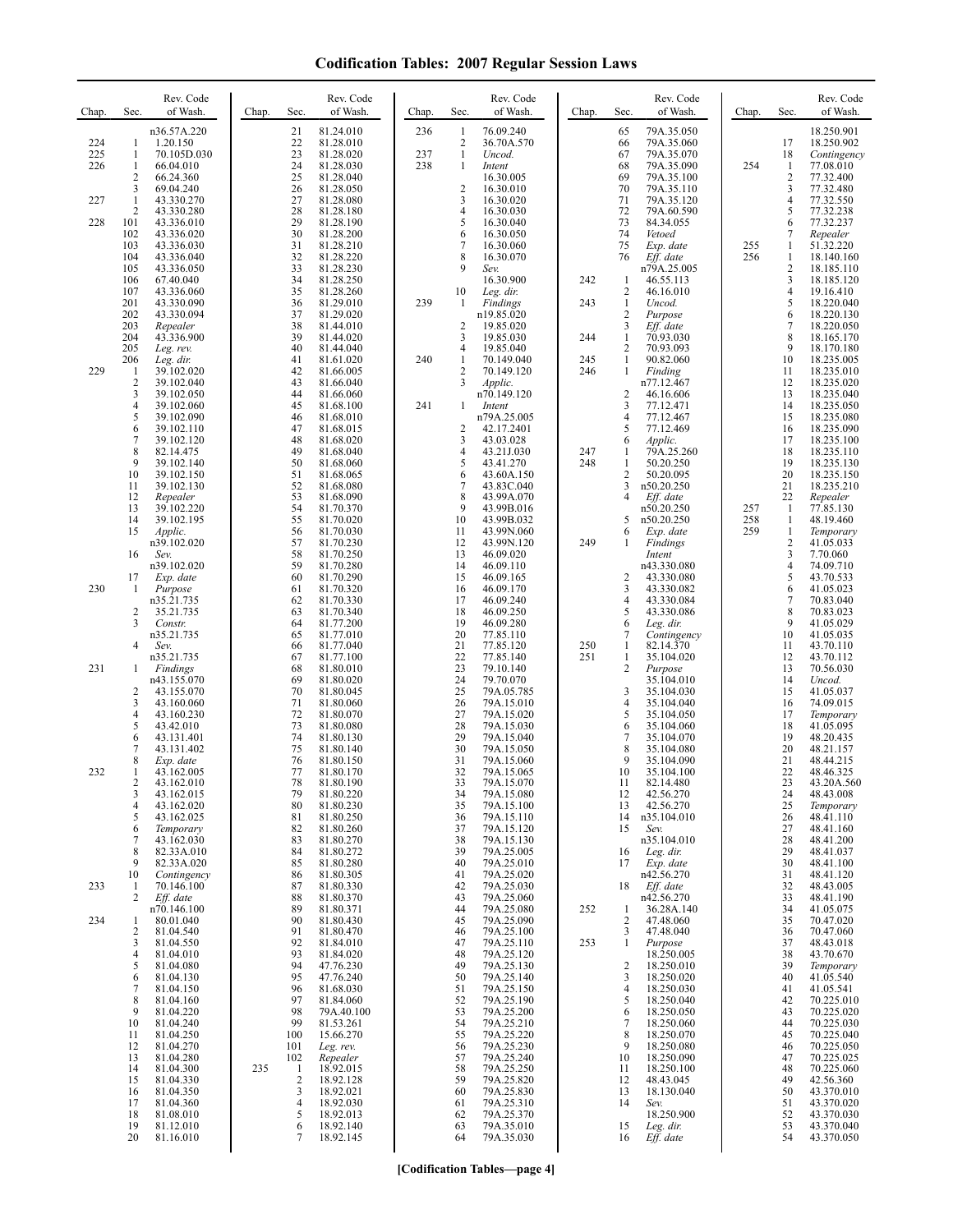| Chap.             | Sec.                                   | Rev. Code<br>of Wash.                                              | Chap. | Sec.                       | Rev. Code<br>of Wash.                                         | Chap.             | Sec.                               | Rev. Code<br>of Wash.                                              | Chap.      | Sec.                                                                             | Rev. Code<br>of Wash.                                              | Chap.             | Sec.                                                   | Rev. Code<br>of Wash.                                              |
|-------------------|----------------------------------------|--------------------------------------------------------------------|-------|----------------------------|---------------------------------------------------------------|-------------------|------------------------------------|--------------------------------------------------------------------|------------|----------------------------------------------------------------------------------|--------------------------------------------------------------------|-------------------|--------------------------------------------------------|--------------------------------------------------------------------|
| 224<br>225<br>226 | 1<br>1<br>1<br>$\overline{2}$          | n36.57A.220<br>1.20.150<br>70.105D.030<br>66.04.010<br>66.24.360   |       | 21<br>22<br>23<br>24<br>25 | 81.24.010<br>81.28.010<br>81.28.020<br>81.28.030<br>81.28.040 | 236<br>237<br>238 | 1<br>2<br>$\mathbf{1}$<br>1        | 76.09.240<br>36.70A.570<br>Uncod.<br>Intent<br>16.30.005           |            | 65<br>66<br>67<br>68<br>69                                                       | 79A.35.050<br>79A.35.060<br>79A.35.070<br>79A.35.090<br>79A.35.100 | 254               | 17<br>18<br>1<br>$\overline{\mathbf{c}}$               | 18.250.901<br>18.250.902<br>Contingency<br>77.08.010<br>77.32.400  |
| 227<br>228        | 3<br>1<br>2<br>101<br>102              | 69.04.240<br>43.330.270<br>43.330.280<br>43.336.010<br>43.336.020  |       | 26<br>27<br>28<br>29<br>30 | 81.28.050<br>81.28.080<br>81.28.180<br>81.28.190<br>81.28.200 |                   | $\overline{c}$<br>3<br>4<br>5<br>6 | 16.30.010<br>16.30.020<br>16.30.030<br>16.30.040<br>16.30.050      |            | 70<br>71<br>72<br>73<br>74                                                       | 79A.35.110<br>79A.35.120<br>79A.60.590<br>84.34.055<br>Vetoed      |                   | 3<br>4<br>5<br>6<br>7                                  | 77.32.480<br>77.32.550<br>77.32.238<br>77.32.237<br>Repealer       |
|                   | 103<br>104<br>105<br>106               | 43.336.030<br>43.336.040<br>43.336.050<br>67.40.040                |       | 31<br>32<br>33<br>34       | 81.28.210<br>81.28.220<br>81.28.230<br>81.28.250              |                   | 7<br>8<br>9                        | 16.30.060<br>16.30.070<br>Sev.<br>16.30.900                        | 242        | 75<br>76<br>-1                                                                   | Exp. date<br>Eff. date<br>n79A.25.005<br>46.55.113                 | 255<br>256        | 1<br>1<br>2<br>3                                       | 51.32.220<br>18.140.160<br>18.185.110<br>18.185.120                |
|                   | 107<br>201<br>202<br>203<br>204        | 43.336.060<br>43.330.090<br>43.330.094<br>Repealer<br>43.336.900   |       | 35<br>36<br>37<br>38<br>39 | 81.28.260<br>81.29.010<br>81.29.020<br>81.44.010<br>81.44.020 | 239               | 10<br>$\mathbf{1}$<br>2<br>3       | Leg. dir.<br>Findings<br>n19.85.020<br>19.85.020<br>19.85.030      | 243<br>244 | $\overline{c}$<br>$\mathbf{1}$<br>$\overline{2}$<br>$\mathbf{3}$<br>$\mathbf{1}$ | 46.16.010<br>Uncod.<br>Purpose<br>Eff. date<br>70.93.030           |                   | 4<br>5<br>6<br>$\sqrt{ }$<br>8                         | 19.16.410<br>18.220.040<br>18.220.130<br>18.220.050<br>18.165.170  |
| 229               | 205<br>206<br>1<br>$\overline{2}$<br>3 | Leg. rev.<br>Leg. dir.<br>39.102.020<br>39.102.040                 |       | 40<br>41<br>42<br>43<br>44 | 81.44.040<br>81.61.020<br>81.66.005<br>81.66.040              | 240               | 4<br>1<br>2<br>3                   | 19.85.040<br>70.149.040<br>70.149.120<br><i>Applic.</i>            | 245<br>246 | $\overline{c}$<br>$\mathbf{1}$<br>1                                              | 70.93.093<br>90.82.060<br>Finding<br>n77.12.467                    |                   | 9<br>10<br>11<br>12<br>13                              | 18.170.180<br>18.235.005<br>18.235.010<br>18.235.020               |
|                   | 4<br>5<br>6<br>7                       | 39.102.050<br>39.102.060<br>39.102.090<br>39.102.110<br>39.102.120 |       | 45<br>46<br>47<br>48       | 81.66.060<br>81.68.100<br>81.68.010<br>81.68.015<br>81.68.020 | 241               | 1<br>2<br>3                        | n70.149.120<br>Intent<br>n79A.25.005<br>42.17.2401<br>43.03.028    |            | $\overline{c}$<br>3<br>4<br>5<br>6                                               | 46.16.606<br>77.12.471<br>77.12.467<br>77.12.469<br>Applic.        |                   | 14<br>15<br>16<br>17                                   | 18.235.040<br>18.235.050<br>18.235.080<br>18.235.090<br>18.235.100 |
|                   | 8<br>9<br>10<br>11<br>12               | 82.14.475<br>39.102.140<br>39.102.150<br>39.102.130<br>Repealer    |       | 49<br>50<br>51<br>52<br>53 | 81.68.040<br>81.68.060<br>81.68.065<br>81.68.080<br>81.68.090 |                   | 4<br>5<br>6<br>7<br>8              | 43.21J.030<br>43.41.270<br>43.60A.150<br>43.83C.040<br>43.99A.070  | 247<br>248 | 1<br>1<br>$\overline{2}$<br>3<br>$\overline{4}$                                  | 79A.25.260<br>50.20.250<br>50.20.095<br>n50.20.250<br>Eff. date    |                   | 18<br>19<br>20<br>21<br>22                             | 18.235.110<br>18.235.130<br>18.235.150<br>18.235.210<br>Repealer   |
|                   | 13<br>14<br>15<br>16                   | 39.102.220<br>39.102.195<br>Applic.<br>n39.102.020<br>Sev.         |       | 54<br>55<br>56<br>57<br>58 | 81.70.370<br>81.70.020<br>81.70.030<br>81.70.230<br>81.70.250 |                   | 9<br>10<br>11<br>12<br>13          | 43.99B.016<br>43.99B.032<br>43.99N.060<br>43.99N.120<br>46.09.020  | 249        | 5<br>6<br>1                                                                      | n50.20.250<br>n50.20.250<br>Exp. date<br>Findings<br>Intent        | 257<br>258<br>259 | 1<br>1<br>$\mathbf{1}$<br>$\overline{\mathbf{c}}$<br>3 | 77.85.130<br>48.19.460<br>Temporary<br>41.05.033<br>7.70.060       |
| 230               | 17<br>1                                | n39.102.020<br>Exp. date<br>Purpose<br>n35.21.735                  |       | 59<br>60<br>61<br>62       | 81.70.280<br>81.70.290<br>81.70.320<br>81.70.330              |                   | 14<br>15<br>16<br>17               | 46.09.110<br>46.09.165<br>46.09.170<br>46.09.240                   |            | $\overline{c}$<br>3<br>4                                                         | n43.330.080<br>43.330.080<br>43.330.082<br>43.330.084              |                   | 4<br>5<br>6<br>7                                       | 74.09.710<br>43.70.533<br>41.05.023<br>70.83.040                   |
|                   | $\overline{2}$<br>3<br>4               | 35.21.735<br>Constr.<br>n35.21.735<br>Sev.<br>n35.21.735           |       | 63<br>64<br>65<br>66<br>67 | 81.70.340<br>81.77.200<br>81.77.010<br>81.77.040<br>81.77.100 |                   | 18<br>19<br>20<br>21<br>22         | 46.09.250<br>46.09.280<br>77.85.110<br>77.85.120<br>77.85.140      | 250<br>251 | 5<br>6<br>7<br>$\mathbf{1}$<br>1                                                 | 43.330.086<br>Leg. dir.<br>Contingency<br>82.14.370<br>35.104.020  |                   | 8<br>9<br>10<br>11<br>12                               | 70.83.023<br>41.05.029<br>41.05.035<br>43.70.110<br>43.70.112      |
| 231               | 1<br>2<br>3<br>$\overline{4}$          | Findings<br>n43.155.070<br>43.155.070<br>43.160.060<br>43.160.230  |       | 68<br>69<br>70<br>71<br>72 | 81.80.010<br>81.80.020<br>81.80.045<br>81.80.060<br>81.80.070 |                   | 23<br>24<br>25<br>26<br>27         | 79.10.140<br>79.70.070<br>79A.05.785<br>79A.15.010<br>79A.15.020   |            | 2<br>3<br>$\overline{4}$<br>5                                                    | Purpose<br>35.104.010<br>35.104.030<br>35.104.040<br>35.104.050    |                   | 13<br>14<br>15<br>16<br>17                             | 70.56.030<br>Uncod.<br>41.05.037<br>74.09.015<br>Temporary         |
| 232               | 5<br>6<br>7<br>8<br>1                  | 43.42.010<br>43.131.401<br>43.131.402<br>Exp. date<br>43.162.005   |       | 73<br>74<br>75<br>76<br>77 | 81.80.080<br>81.80.130<br>81.80.140<br>81.80.150<br>81.80.170 |                   | 28<br>29<br>30<br>31<br>32         | 79A.15.030<br>79A.15.040<br>79A.15.050<br>79A.15.060<br>79A.15.065 |            | 6<br>$\overline{7}$<br>8<br>9<br>10                                              | 35.104.060<br>35.104.070<br>35.104.080<br>35.104.090<br>35.104.100 |                   | 18<br>19<br>20<br>21<br>22                             | 41.05.095<br>48.20.435<br>48.21.157<br>48.44.215<br>48.46.325      |
|                   | 2<br>3<br>4<br>5                       | 43.162.010<br>43.162.015<br>43.162.020<br>43.162.025               |       | 78<br>79<br>80<br>81       | 81.80.190<br>81.80.220<br>81.80.230<br>81.80.250              |                   | 33<br>34<br>35<br>36               | 79A.15.070<br>79A.15.080<br>79A.15.100<br>79A.15.110               |            | 11<br>12<br>13<br>14                                                             | 82.14.480<br>42.56.270<br>42.56.270<br>n35.104.010                 |                   | 23<br>24<br>25<br>26                                   | 43.20A.560<br>48.43.008<br>Temporary<br>48.41.110                  |
|                   | 6<br>7<br>8<br>9<br>10                 | Temporary<br>43.162.030<br>82.33A.010<br>82.33A.020<br>Contingency |       | 82<br>83<br>84<br>85<br>86 | 81.80.260<br>81.80.270<br>81.80.272<br>81.80.280<br>81.80.305 |                   | 37<br>38<br>39<br>40<br>41         | 79A.15.120<br>79A.15.130<br>79A.25.005<br>79A.25.010<br>79A.25.020 |            | 15<br>16<br>17                                                                   | Sev.<br>n35.104.010<br>Leg. dir.<br>Exp. date<br>n42.56.270        |                   | 27<br>28<br>29<br>30<br>31                             | 48.41.160<br>48.41.200<br>48.41.037<br>48.41.100<br>48.41.120      |
| 233<br>234        | -1<br>2<br>1<br>2                      | 70.146.100<br>Eff. date<br>n70.146.100<br>80.01.040<br>81.04.540   |       | 87<br>88<br>89<br>90<br>91 | 81.80.330<br>81.80.370<br>81.80.371<br>81.80.430<br>81.80.470 |                   | 42<br>43<br>44<br>45<br>46         | 79A.25.030<br>79A.25.060<br>79A.25.080<br>79A.25.090<br>79A.25.100 | 252        | 18<br>$\mathbf{1}$<br>$\overline{2}$<br>3                                        | Eff. date<br>n42.56.270<br>36.28A.140<br>47.48.060<br>47.48.040    |                   | 32<br>33<br>34<br>35<br>36                             | 48.43.005<br>48.41.190<br>41.05.075<br>70.47.020<br>70.47.060      |
|                   | 3<br>4<br>5<br>6<br>7                  | 81.04.550<br>81.04.010<br>81.04.080<br>81.04.130<br>81.04.150      |       | 92<br>93<br>94<br>95<br>96 | 81.84.010<br>81.84.020<br>47.76.230<br>47.76.240<br>81.68.030 |                   | 47<br>48<br>49<br>50<br>51         | 79A.25.110<br>79A.25.120<br>79A.25.130<br>79A.25.140<br>79A.25.150 | 253        | $\mathbf{1}$<br>$\overline{c}$<br>3<br>$\overline{4}$                            | Purpose<br>18.250.005<br>18.250.010<br>18.250.020<br>18.250.030    |                   | 37<br>38<br>39<br>40<br>41                             | 48.43.018<br>43.70.670<br>Temporary<br>41.05.540<br>41.05.541      |
|                   | 8<br>9<br>10<br>11                     | 81.04.160<br>81.04.220<br>81.04.240<br>81.04.250                   |       | 97<br>98<br>99<br>100      | 81.84.060<br>79A.40.100<br>81.53.261<br>15.66.270             |                   | 52<br>53<br>54<br>55               | 79A.25.190<br>79A.25.200<br>79A.25.210<br>79A.25.220               |            | 5<br>6<br>7<br>8                                                                 | 18.250.040<br>18.250.050<br>18.250.060<br>18.250.070               |                   | 42<br>43<br>44<br>45                                   | 70.225.010<br>70.225.020<br>70.225.030<br>70.225.040               |
|                   | 12<br>13<br>14<br>15<br>16             | 81.04.270<br>81.04.280<br>81.04.300<br>81.04.330<br>81.04.350      | 235   | 101<br>102<br>-1<br>2<br>3 | Leg. rev.<br>Repealer<br>18.92.015<br>18.92.128<br>18.92.021  |                   | 56<br>57<br>58<br>59<br>60         | 79A.25.230<br>79A.25.240<br>79A.25.250<br>79A.25.820<br>79A.25.830 |            | 9<br>10<br>11<br>12<br>13                                                        | 18.250.080<br>18.250.090<br>18.250.100<br>48.43.045<br>18.130.040  |                   | 46<br>47<br>48<br>49<br>50                             | 70.225.050<br>70.225.025<br>70.225.060<br>42.56.360<br>43.370.010  |
|                   | 17<br>18<br>19<br>20                   | 81.04.360<br>81.08.010<br>81.12.010<br>81.16.010                   |       | 4<br>5<br>6<br>7           | 18.92.030<br>18.92.013<br>18.92.140<br>18.92.145              |                   | 61<br>62<br>63<br>64               | 79A.25.310<br>79A.25.370<br>79A.35.010<br>79A.35.030               |            | 14<br>15<br>16                                                                   | Sev.<br>18.250.900<br>Leg. dir.<br>Eff. date                       |                   | 51<br>52<br>53<br>54                                   | 43.370.020<br>43.370.030<br>43.370.040<br>43.370.050               |

**[Codification Tables—page 4]**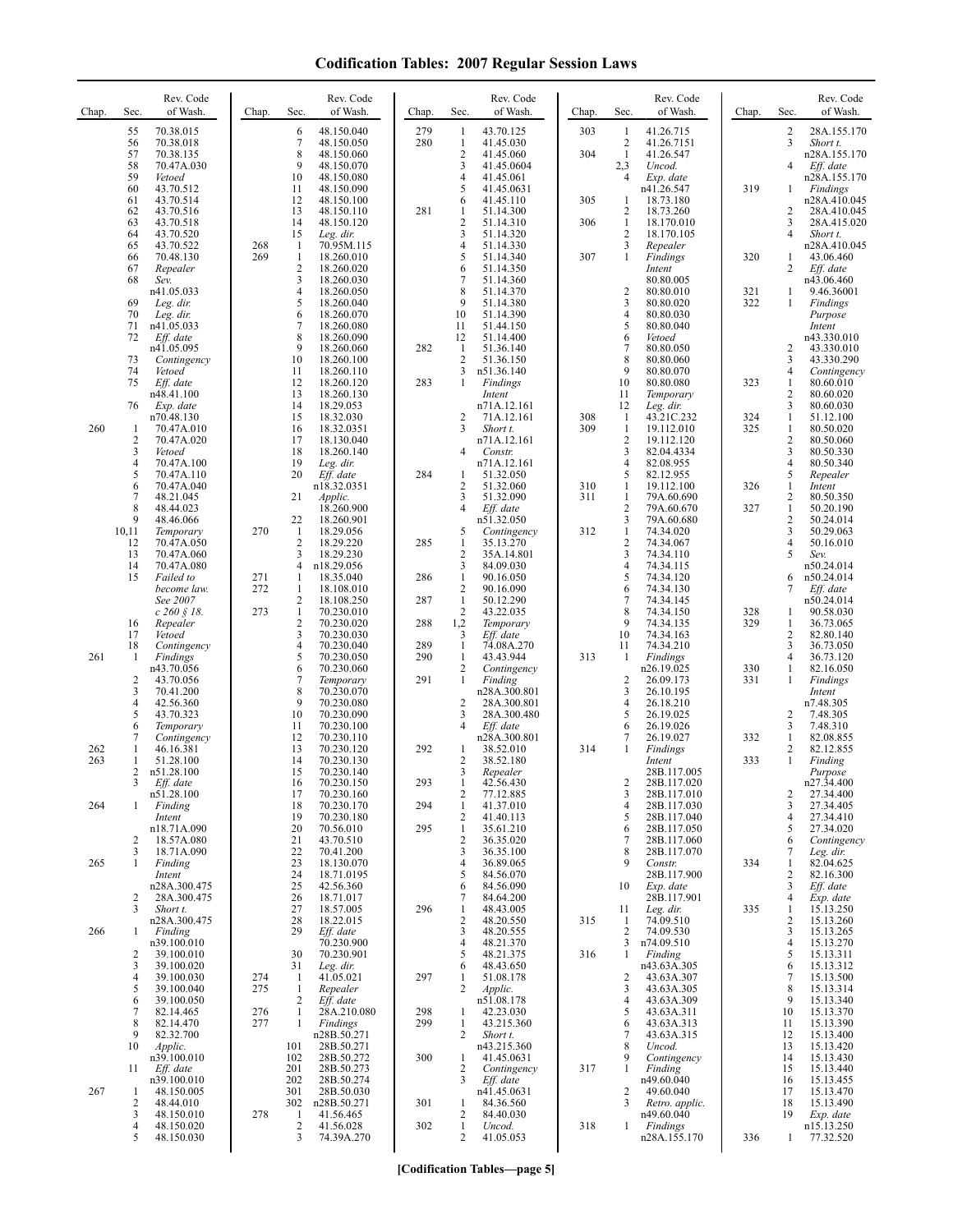| Chap. | Sec.                 | Rev. Code<br>of Wash.       | Chap. | Sec.                           | Rev. Code<br>of Wash.     | Chap.      | Sec.                         | Rev. Code<br>of Wash.      | Chap. | Sec.                         | Rev. Code<br>of Wash.       | Chap.      | Sec.                                  | Rev. Code<br>of Wash.       |
|-------|----------------------|-----------------------------|-------|--------------------------------|---------------------------|------------|------------------------------|----------------------------|-------|------------------------------|-----------------------------|------------|---------------------------------------|-----------------------------|
|       | 55<br>56             | 70.38.015<br>70.38.018      |       | 6<br>$\tau$                    | 48.150.040<br>48.150.050  | 279<br>280 | 1<br>$\mathbf{1}$            | 43.70.125<br>41.45.030     | 303   | 1<br>$\overline{2}$          | 41.26.715<br>41.26.7151     |            | $\overline{c}$<br>$\overline{3}$      | 28A.155.170<br>Short t.     |
|       | 57                   | 70.38.135                   |       | 8                              | 48.150.060                |            | $\overline{c}$               | 41.45.060                  | 304   | -1                           | 41.26.547                   |            |                                       | n28A.155.170                |
|       | 58<br>59             | 70.47A.030<br>Vetoed        |       | 9<br>10                        | 48.150.070<br>48.150.080  |            | 3<br>4                       | 41.45.0604<br>41.45.061    |       | 2,3<br>$\overline{4}$        | Uncod.<br>Exp. date         |            | $\overline{4}$                        | Eff. date<br>n28A.155.170   |
|       | 60                   | 43.70.512                   |       | 11                             | 48.150.090                |            | 5                            | 41.45.0631                 |       |                              | n41.26.547                  | 319        | 1                                     | Findings                    |
|       | 61<br>62             | 43.70.514<br>43.70.516      |       | 12<br>13                       | 48.150.100<br>48.150.110  | 281        | 6<br>1                       | 41.45.110<br>51.14.300     | 305   | 1<br>$\overline{c}$          | 18.73.180<br>18.73.260      |            | $\overline{2}$                        | n28A.410.045<br>28A.410.045 |
|       | 63                   | 43.70.518                   |       | 14                             | 48.150.120                |            | 2                            | 51.14.310                  | 306   | $\mathbf{1}$                 | 18.170.010                  |            | 3<br>$\overline{4}$                   | 28A.415.020                 |
|       | 64<br>65             | 43.70.520<br>43.70.522      | 268   | 15<br>$\mathbf{1}$             | Leg. dir.<br>70.95M.115   |            | 3<br>4                       | 51.14.320<br>51.14.330     |       | $\overline{c}$<br>3          | 18.170.105<br>Repealer      |            |                                       | Short t.<br>n28A.410.045    |
|       | 66<br>67             | 70.48.130<br>Repealer       | 269   | 1<br>$\overline{\mathbf{c}}$   | 18.260.010<br>18.260.020  |            | 5<br>6                       | 51.14.340<br>51.14.350     | 307   | $\mathbf{1}$                 | Findings<br>Intent          | 320        | 1<br>2                                | 43.06.460<br>Eff. date      |
|       | 68                   | Sev.                        |       | 3                              | 18.260.030                |            | 7                            | 51.14.360                  |       |                              | 80.80.005                   |            |                                       | n43.06.460                  |
|       | 69                   | n41.05.033<br>Leg. dir.     |       | $\overline{4}$<br>5            | 18.260.050<br>18.260.040  |            | 8<br>9                       | 51.14.370<br>51.14.380     |       | $\overline{\mathbf{c}}$<br>3 | 80.80.010<br>80.80.020      | 321<br>322 | 1<br>1                                | 9.46.36001<br>Findings      |
|       | 70<br>71             | Leg. dir.<br>n41.05.033     |       | 6<br>7                         | 18.260.070<br>18.260.080  |            | 10<br>11                     | 51.14.390<br>51.44.150     |       | 4<br>5                       | 80.80.030<br>80.80.040      |            |                                       | Purpose<br>Intent           |
|       | 72                   | Eff. date                   |       | 8                              | 18.260.090                |            | 12                           | 51.14.400                  |       | 6                            | Vetoed                      |            |                                       | n43.330.010                 |
|       | 73                   | n41.05.095<br>Contingency   |       | 9<br>10                        | 18.260.060<br>18.260.100  | 282        | 1<br>2                       | 51.36.140<br>51.36.150     |       | 7<br>8                       | 80.80.050<br>80.80.060      |            | 2<br>3                                | 43.330.010<br>43.330.290    |
|       | 74                   | Vetoed                      |       | 11                             | 18.260.110                |            | 3                            | n51.36.140                 |       | 9                            | 80.80.070                   |            | $\overline{4}$                        | Contingency                 |
|       | 75                   | Eff. date<br>n48.41.100     |       | 12<br>13                       | 18.260.120<br>18.260.130  | 283        | 1                            | Findings<br>Intent         |       | 10<br>11                     | 80.80.080<br>Temporary      | 323        | $\mathbf{1}$<br>$\sqrt{2}$            | 80.60.010<br>80.60.020      |
|       | 76                   | Exp. date<br>n70.48.130     |       | 14<br>15                       | 18.29.053<br>18.32.030    |            | $\overline{c}$               | n71A.12.161<br>71A.12.161  | 308   | 12<br>1                      | Leg. dir.<br>43.21C.232     | 324        | 3<br>$\mathbf{1}$                     | 80.60.030<br>51.12.100      |
| 260   | -1                   | 70.47A.010                  |       | 16                             | 18.32.0351                |            | 3                            | Short t.                   | 309   | $\mathbf{1}$                 | 19.112.010                  | 325        | $\mathbf{1}$                          | 80.50.020                   |
|       | $\overline{2}$<br>3  | 70.47A.020<br>Vetoed        |       | 17<br>18                       | 18.130.040<br>18.260.140  |            | 4                            | n71A.12.161<br>Constr.     |       | $\overline{c}$<br>3          | 19.112.120<br>82.04.4334    |            | $\sqrt{2}$<br>$\overline{\mathbf{3}}$ | 80.50.060<br>80.50.330      |
|       | 4<br>5               | 70.47A.100<br>70.47A.110    |       | 19<br>20                       | Leg. dir.<br>Eff. date    | 284        | 1                            | n71A.12.161<br>51.32.050   |       | 4<br>5                       | 82.08.955<br>82.12.955      |            | $\overline{4}$<br>5                   | 80.50.340<br>Repealer       |
|       | 6                    | 70.47A.040                  |       |                                | n18.32.0351               |            | 2                            | 51.32.060                  | 310   | 1                            | 19.112.100                  | 326        | $\mathbf{1}$                          | Intent                      |
|       | 7<br>8               | 48.21.045<br>48.44.023      |       | 21                             | Applic.<br>18.260.900     |            | 3<br>4                       | 51.32.090<br>Eff. date     | 311   | 1<br>$\overline{2}$          | 79A.60.690<br>79A.60.670    | 327        | $\sqrt{2}$<br>$\mathbf{1}$            | 80.50.350<br>50.20.190      |
|       | 9                    | 48.46.066                   |       | 22                             | 18.260.901                |            |                              | n51.32.050                 |       | 3                            | 79A.60.680                  |            | $\overline{2}$                        | 50.24.014                   |
|       | 10,11<br>12          | Temporary<br>70.47A.050     | 270   | -1<br>2                        | 18.29.056<br>18.29.220    | 285        | 5<br>$\mathbf{1}$            | Contingency<br>35.13.270   | 312   | 1<br>$\overline{c}$          | 74.34.020<br>74.34.067      |            | 3<br>$\overline{4}$                   | 50.29.063<br>50.16.010      |
|       | 13<br>14             | 70.47A.060<br>70.47A.080    |       | 3<br>4                         | 18.29.230<br>n18.29.056   |            | 2<br>3                       | 35A.14.801<br>84.09.030    |       | 3<br>4                       | 74.34.110<br>74.34.115      |            | 5                                     | Sev.<br>n50.24.014          |
|       | 15                   | Failed to                   | 271   | 1                              | 18.35.040                 | 286        | $\mathbf{1}$                 | 90.16.050                  |       | 5                            | 74.34.120                   |            | 6                                     | n50.24.014                  |
|       |                      | become law.<br>See 2007     | 272   | 1<br>$\overline{c}$            | 18.108.010<br>18.108.250  | 287        | 2<br>$\mathbf{1}$            | 90.16.090<br>50.12.290     |       | 6<br>7                       | 74.34.130<br>74.34.145      |            | 7                                     | Eff. date<br>n50.24.014     |
|       |                      | $c\,260\,\S\,18.$           | 273   | $\mathbf{1}$<br>$\overline{c}$ | 70.230.010                | 288        | 2                            | 43.22.035                  |       | 8<br>9                       | 74.34.150                   | 328<br>329 | 1<br>1                                | 90.58.030                   |
|       | 16<br>17             | Repealer<br>Vetoed          |       | 3                              | 70.230.020<br>70.230.030  |            | 1,2<br>3                     | Temporary<br>Eff. date     |       | 10                           | 74.34.135<br>74.34.163      |            | $\overline{2}$                        | 36.73.065<br>82.80.140      |
| 261   | 18<br>-1             | Contingency<br>Findings     |       | $\overline{4}$<br>5            | 70.230.040<br>70.230.050  | 289<br>290 | $\mathbf{1}$<br>$\mathbf{1}$ | 74.08A.270<br>43.43.944    | 313   | 11<br>-1                     | 74.34.210<br>Findings       |            | 3<br>$\overline{4}$                   | 36.73.050<br>36.73.120      |
|       |                      | n43.70.056                  |       | 6                              | 70.230.060                |            | 2                            | Contingency                |       |                              | n26.19.025                  | 330        | 1                                     | 82.16.050                   |
|       | $\overline{2}$<br>3  | 43.70.056<br>70.41.200      |       | 7<br>8                         | Temporary<br>70.230.070   | 291        | $\mathbf{1}$                 | Finding<br>n28A.300.801    |       | $\overline{c}$<br>3          | 26.09.173<br>26.10.195      | 331        | 1                                     | Findings<br>Intent          |
|       | 4<br>5               | 42.56.360<br>43.70.323      |       | 9<br>10                        | 70.230.080<br>70.230.090  |            | 2<br>3                       | 28A.300.801<br>28A.300.480 |       | 4<br>5                       | 26.18.210<br>26.19.025      |            | 2                                     | n7.48.305<br>7.48.305       |
|       | 6                    | Temporary                   |       | 11                             | 70.230.100                |            | 4                            | Eff. date                  |       | 6                            | 26.19.026                   |            | 3                                     | 7.48.310                    |
| 262   | 7<br>1               | Contingency<br>46.16.381    |       | 12<br>13                       | 70.230.110<br>70.230.120  | 292        | 1                            | n28A.300.801<br>38.52.010  | 314   | 7<br>$\mathbf{1}$            | 26.19.027<br>Findings       | 332        | $\mathbf{1}$<br>2                     | 82.08.855<br>82.12.855      |
| 263   | 1<br>2               | 51.28.100<br>n51.28.100     |       | 14<br>15                       | 70.230.130<br>70.230.140  |            | 2<br>3                       | 38.52.180                  |       |                              | Intent<br>28B.117.005       | 333        | 1                                     | Finding<br>Purpose          |
|       |                      | Eff. date                   |       | 16                             | 70.230.150                | 293        | 1                            | Repealer<br>42.56.430      |       | 2                            | 28B.117.020                 |            |                                       | n27.34.400                  |
| 264   | $\mathbf{1}$         | n51.28.100<br>Finding       |       | 17<br>18                       | 70.230.160<br>70.230.170  | 294        | 2<br>$\mathbf{1}$            | 77.12.885<br>41.37.010     |       | 3<br>4                       | 28B.117.010<br>28B.117.030  |            | 2<br>$\overline{\mathbf{3}}$          | 27.34.400<br>27.34.405      |
|       |                      | Intent                      |       | 19<br>20                       | 70.230.180<br>70.56.010   | 295        | 2<br>$\mathbf{1}$            | 41.40.113<br>35.61.210     |       | 5                            | 28B.117.040                 |            | $\overline{4}$<br>5                   | 27.34.410<br>27.34.020      |
|       | 2                    | n18.71A.090<br>18.57A.080   |       | 21                             | 43.70.510                 |            | $\overline{c}$               | 36.35.020                  |       | 6<br>7                       | 28B.117.050<br>28B.117.060  |            | 6                                     | Contingency                 |
| 265   | 3<br>$\mathbf{1}$    | 18.71A.090<br>Finding       |       | 22<br>23                       | 70.41.200<br>18.130.070   |            | 3<br>4                       | 36.35.100<br>36.89.065     |       | 8<br>9                       | 28B.117.070<br>Constr.      | 334        | 7<br>1                                | Leg. dir.<br>82.04.625      |
|       |                      | Intent                      |       | 24                             | 18.71.0195                |            | 5                            | 84.56.070                  |       |                              | 28B.117.900                 |            | $\overline{c}$                        | 82.16.300                   |
|       | 2                    | n28A.300.475<br>28A.300.475 |       | 25<br>26                       | 42.56.360<br>18.71.017    |            | 6<br>7                       | 84.56.090<br>84.64.200     |       | 10                           | Exp. date<br>28B.117.901    |            | 3<br>$\overline{4}$                   | Eff. date<br>Exp. date      |
|       | 3                    | Short t.<br>n28A.300.475    |       | 27<br>28                       | 18.57.005<br>18.22.015    | 296        | $\mathbf{1}$<br>2            | 48.43.005<br>48.20.550     | 315   | 11<br>-1                     | Leg. dir.<br>74.09.510      | 335        | 1<br>$\overline{2}$                   | 15.13.250<br>15.13.260      |
| 266   | -1                   | Finding                     |       | 29                             | Eff. date                 |            | 3                            | 48.20.555                  |       | 2                            | 74.09.530                   |            | 3                                     | 15.13.265                   |
|       | 2                    | n39.100.010<br>39.100.010   |       | 30                             | 70.230.900<br>70.230.901  |            | 4<br>5                       | 48.21.370<br>48.21.375     | 316   | 3<br>1                       | n74.09.510<br>Finding       |            | $\overline{4}$<br>5                   | 15.13.270<br>15.13.311      |
|       | 3<br>4               | 39.100.020<br>39.100.030    | 274   | 31<br>1                        | Leg. dir.<br>41.05.021    | 297        | 6<br>$\mathbf{1}$            | 48.43.650<br>51.08.178     |       | $\overline{2}$               | n43.63A.305<br>43.63A.307   |            | 6<br>$\tau$                           | 15.13.312<br>15.13.500      |
|       | 5                    | 39.100.040                  | 275   | $\mathbf{1}$                   | Repealer                  |            | 2                            | Applic.                    |       | 3                            | 43.63A.305                  |            | 8                                     | 15.13.314                   |
|       | 6<br>7               | 39.100.050<br>82.14.465     | 276   | 2<br>$\mathbf{1}$              | Eff. date<br>28A.210.080  | 298        | 1                            | n51.08.178<br>42.23.030    |       | 4<br>5                       | 43.63A.309<br>43.63A.311    |            | 9<br>10                               | 15.13.340<br>15.13.370      |
|       | 8<br>9               | 82.14.470                   | 277   | 1                              | <b>Findings</b>           | 299        | $\mathbf{1}$                 | 43.215.360                 |       | 6<br>7                       | 43.63A.313                  |            | 11                                    | 15.13.390                   |
|       | 10                   | 82.32.700<br>Applic.        |       | 101                            | n28B.50.271<br>28B.50.271 |            | 2                            | Short t.<br>n43.215.360    |       | 8                            | 43.63A.315<br>Uncod.        |            | 12<br>13                              | 15.13.400<br>15.13.420      |
|       | 11                   | n39.100.010<br>Eff. date    |       | 102<br>201                     | 28B.50.272<br>28B.50.273  | 300        | $\mathbf{1}$<br>2            | 41.45.0631<br>Contingency  | 317   | 9<br>1                       | Contingency<br>Finding      |            | 14<br>15                              | 15.13.430<br>15.13.440      |
|       |                      | n39.100.010                 |       | 202                            | 28B.50.274                |            | 3                            | Eff. date                  |       |                              | n49.60.040                  |            | 16                                    | 15.13.455                   |
| 267   | -1<br>$\overline{2}$ | 48.150.005<br>48.44.010     |       | 301<br>302                     | 28B.50.030<br>n28B.50.271 | 301        | 1                            | n41.45.0631<br>84.36.560   |       | 2<br>3                       | 49.60.040<br>Retro. applic. |            | 17<br>18                              | 15.13.470<br>15.13.490      |
|       | 3<br>4               | 48.150.010<br>48.150.020    | 278   | 1<br>$\overline{c}$            | 41.56.465<br>41.56.028    | 302        | 2<br>$\mathbf{1}$            | 84.40.030<br>Uncod.        | 318   | 1                            | n49.60.040<br>Findings      |            | 19                                    | Exp. date<br>n15.13.250     |
|       | 5                    | 48.150.030                  |       | 3                              | 74.39A.270                |            | 2                            | 41.05.053                  |       |                              | n28A.155.170                | 336        | 1                                     | 77.32.520                   |

**[Codification Tables—page 5]**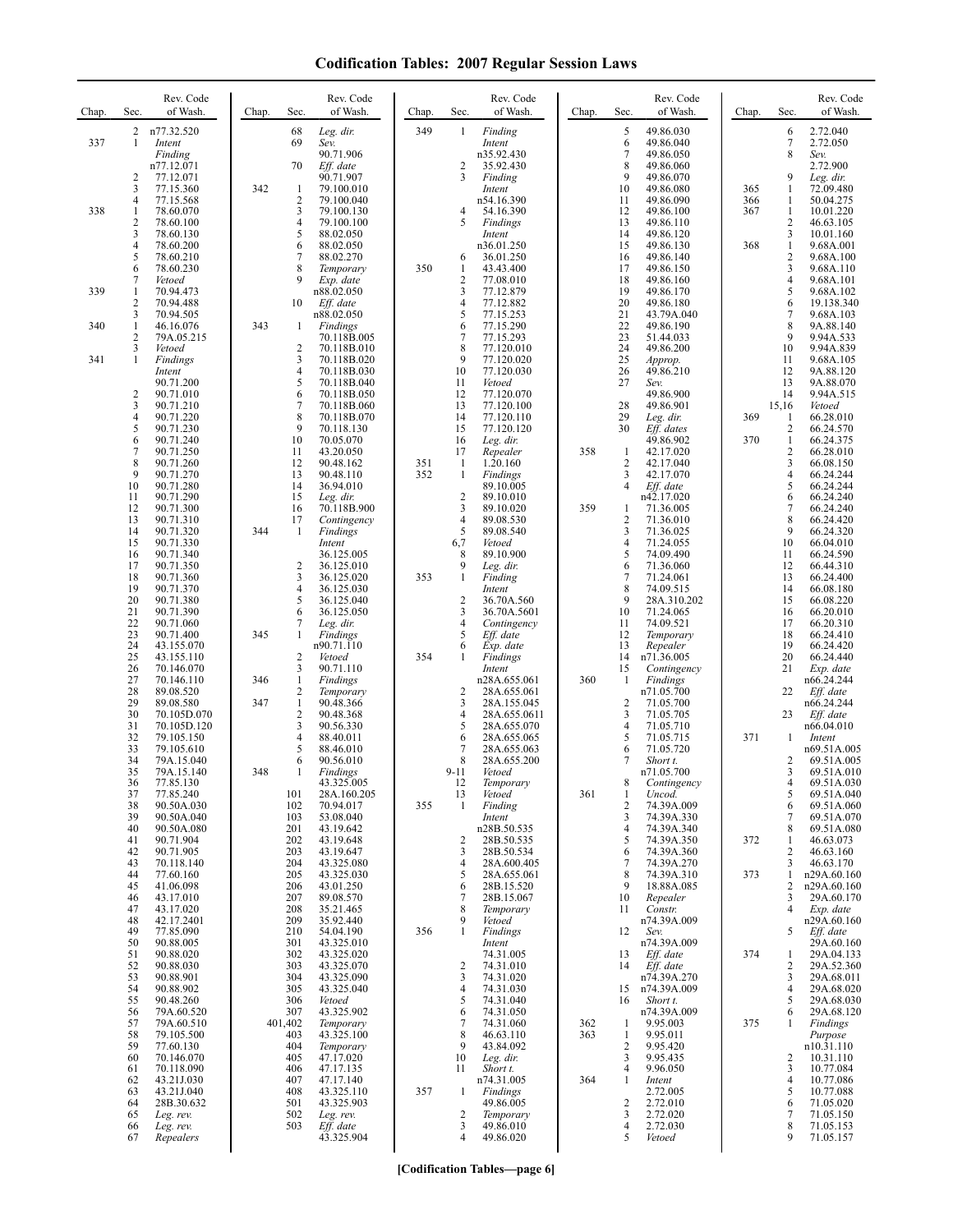| Chap.      | Sec.                                                                                           | Rev. Code<br>of Wash.                                                                                                                                                                        | Chap.      | Sec.                                                                                        | Rev. Code<br>of Wash.                                                                                                                                                                                         | Chap.      | Sec.                                                                                                                                             | Rev. Code<br>of Wash.                                                                                                                                                                          | Chap.             | Sec.                                                                                    | Rev. Code<br>of Wash.                                                                                                                                                                        | Chap.                    | Sec.                                                                                      | Rev. Code<br>of Wash.                                                                                                                                                                        |
|------------|------------------------------------------------------------------------------------------------|----------------------------------------------------------------------------------------------------------------------------------------------------------------------------------------------|------------|---------------------------------------------------------------------------------------------|---------------------------------------------------------------------------------------------------------------------------------------------------------------------------------------------------------------|------------|--------------------------------------------------------------------------------------------------------------------------------------------------|------------------------------------------------------------------------------------------------------------------------------------------------------------------------------------------------|-------------------|-----------------------------------------------------------------------------------------|----------------------------------------------------------------------------------------------------------------------------------------------------------------------------------------------|--------------------------|-------------------------------------------------------------------------------------------|----------------------------------------------------------------------------------------------------------------------------------------------------------------------------------------------|
| 337        | 1                                                                                              | 2 n77.32.520<br>Intent<br>Finding<br>n77.12.071                                                                                                                                              |            | 68<br>69<br>70                                                                              | Leg. dir.<br>Sev.<br>90.71.906<br>Eff. date                                                                                                                                                                   | 349        | $\mathbf{1}$<br>2                                                                                                                                | Finding<br>Intent<br>n35.92.430<br>35.92.430                                                                                                                                                   |                   | 5<br>6<br>7<br>8                                                                        | 49.86.030<br>49.86.040<br>49.86.050<br>49.86.060                                                                                                                                             |                          | 6<br>7<br>8                                                                               | 2.72.040<br>2.72.050<br>Sev.<br>2.72.900                                                                                                                                                     |
| 338        | $\overline{2}$<br>3<br>$\overline{4}$<br>-1<br>$\overline{2}$<br>3<br>$\overline{4}$<br>5<br>6 | 77.12.071<br>77.15.360<br>77.15.568<br>78.60.070<br>78.60.100<br>78.60.130<br>78.60.200<br>78.60.210<br>78.60.230                                                                            | 342        | -1<br>$\overline{2}$<br>3<br>4<br>5<br>6<br>7<br>8                                          | 90.71.907<br>79.100.010<br>79.100.040<br>79.100.130<br>79.100.100<br>88.02.050<br>88.02.050<br>88.02.270<br>Temporary                                                                                         | 350        | 3<br>4<br>5<br>6<br>$\mathbf{1}$                                                                                                                 | Finding<br>Intent<br>n54.16.390<br>54.16.390<br>Findings<br>Intent<br>n36.01.250<br>36.01.250<br>43.43.400                                                                                     |                   | 9<br>10<br>11<br>12<br>13<br>14<br>15<br>16<br>17                                       | 49.86.070<br>49.86.080<br>49.86.090<br>49.86.100<br>49.86.110<br>49.86.120<br>49.86.130<br>49.86.140<br>49.86.150                                                                            | 365<br>366<br>367<br>368 | 9<br>1<br>1<br>$\mathbf{1}$<br>2<br>3<br>$\mathbf{1}$<br>$\overline{c}$<br>3              | Leg. dir.<br>72.09.480<br>50.04.275<br>10.01.220<br>46.63.105<br>10.01.160<br>9.68A.001<br>9.68A.100<br>9.68A.110                                                                            |
| 339        | 7<br>1<br>$\overline{2}$                                                                       | Vetoed<br>70.94.473<br>70.94.488                                                                                                                                                             |            | 9<br>10                                                                                     | Exp. date<br>n88.02.050<br>Eff. date                                                                                                                                                                          |            | $\overline{c}$<br>3<br>$\overline{4}$                                                                                                            | 77.08.010<br>77.12.879<br>77.12.882                                                                                                                                                            |                   | 18<br>19<br>20                                                                          | 49.86.160<br>49.86.170<br>49.86.180                                                                                                                                                          |                          | $\overline{4}$<br>5<br>6                                                                  | 9.68A.101<br>9.68A.102<br>19.138.340                                                                                                                                                         |
| 340<br>341 | 3<br>$\mathbf{1}$<br>$\overline{2}$<br>3<br>1                                                  | 70.94.505<br>46.16.076<br>79A.05.215<br>Vetoed<br>Findings                                                                                                                                   | 343        | -1<br>$\overline{c}$<br>3                                                                   | n88.02.050<br>Findings<br>70.118B.005<br>70.118B.010<br>70.118B.020                                                                                                                                           |            | 5<br>6<br>$\overline{7}$<br>8<br>9                                                                                                               | 77.15.253<br>77.15.290<br>77.15.293<br>77.120.010<br>77.120.020                                                                                                                                |                   | 21<br>22<br>23<br>24<br>25                                                              | 43.79A.040<br>49.86.190<br>51.44.033<br>49.86.200<br>Approp.                                                                                                                                 |                          | 7<br>8<br>9<br>10<br>11                                                                   | 9.68A.103<br>9A.88.140<br>9.94A.533<br>9.94A.839<br>9.68A.105                                                                                                                                |
|            | $\overline{c}$<br>3<br>4<br>5<br>6<br>7<br>8<br>9<br>10<br>11<br>12<br>13<br>14                | Intent<br>90.71.200<br>90.71.010<br>90.71.210<br>90.71.220<br>90.71.230<br>90.71.240<br>90.71.250<br>90.71.260<br>90.71.270<br>90.71.280<br>90.71.290<br>90.71.300<br>90.71.310<br>90.71.320 | 344        | 4<br>5<br>6<br>7<br>8<br>9<br>10<br>11<br>12<br>13<br>14<br>15<br>16<br>17<br>1             | 70.118B.030<br>70.118B.040<br>70.118B.050<br>70.118B.060<br>70.118B.070<br>70.118.130<br>70.05.070<br>43.20.050<br>90.48.162<br>90.48.110<br>36.94.010<br>Leg. dir.<br>70.118B.900<br>Contingency<br>Findings | 351<br>352 | 10<br>11<br>12<br>13<br>14<br>15<br>16<br>17<br>$\mathbf{1}$<br>$\mathbf{1}$<br>$\overline{c}$<br>$\overline{\mathbf{3}}$<br>$\overline{4}$<br>5 | 77.120.030<br>Vetoed<br>77.120.070<br>77.120.100<br>77.120.110<br>77.120.120<br>Leg. dir.<br>Repealer<br>1.20.160<br>Findings<br>89.10.005<br>89.10.010<br>89.10.020<br>89.08.530<br>89.08.540 | 358<br>359        | 26<br>27<br>28<br>29<br>30<br>1<br>2<br>3<br>$\overline{4}$<br>1<br>$\overline{c}$<br>3 | 49.86.210<br>Sev.<br>49.86.900<br>49.86.901<br>Leg. dir.<br>Eff. dates<br>49.86.902<br>42.17.020<br>42.17.040<br>42.17.070<br>Eff. date<br>n42.17.020<br>71.36.005<br>71.36.010<br>71.36.025 | 369<br>370               | 12<br>13<br>14<br>15,16<br>1<br>$\mathbf{2}$<br>1<br>2<br>3<br>4<br>5<br>6<br>7<br>8<br>9 | 9A.88.120<br>9A.88.070<br>9.94A.515<br>Vetoed<br>66.28.010<br>66.24.570<br>66.24.375<br>66.28.010<br>66.08.150<br>66.24.244<br>66.24.244<br>66.24.240<br>66.24.240<br>66.24.420<br>66.24.320 |
|            | 15<br>16<br>17<br>18<br>19<br>20<br>21                                                         | 90.71.330<br>90.71.340<br>90.71.350<br>90.71.360<br>90.71.370<br>90.71.380<br>90.71.390                                                                                                      |            | $\overline{2}$<br>3<br>$\overline{4}$<br>5<br>6                                             | Intent<br>36.125.005<br>36.125.010<br>36.125.020<br>36.125.030<br>36.125.040<br>36.125.050                                                                                                                    | 353        | 6,7<br>8<br>9<br>$\mathbf{1}$<br>$\overline{2}$<br>3                                                                                             | Vetoed<br>89.10.900<br>Leg. dir.<br>Finding<br>Intent<br>36.70A.560<br>36.70A.5601                                                                                                             |                   | 4<br>5<br>6<br>7<br>8<br>9<br>10                                                        | 71.24.055<br>74.09.490<br>71.36.060<br>71.24.061<br>74.09.515<br>28A.310.202<br>71.24.065                                                                                                    |                          | 10<br>11<br>12<br>13<br>14<br>15<br>16                                                    | 66.04.010<br>66.24.590<br>66.44.310<br>66.24.400<br>66.08.180<br>66.08.220<br>66.20.010                                                                                                      |
|            | 22<br>23<br>24<br>25<br>26<br>27<br>28                                                         | 90.71.060<br>90.71.400<br>43.155.070<br>43.155.110<br>70.146.070<br>70.146.110<br>89.08.520                                                                                                  | 345<br>346 | 7<br>1<br>$\overline{2}$<br>3<br>1<br>2                                                     | Leg. dir.<br>Findings<br>n90.71.110<br>Vetoed<br>90.71.110<br>Findings<br>Temporary                                                                                                                           | 354        | $\overline{4}$<br>5<br>6<br>1<br>2                                                                                                               | Contingency<br>Eff. date<br>Exp. date<br>Findings<br>Intent<br>n28A.655.061<br>28A.655.061                                                                                                     | 360               | 11<br>12<br>13<br>14<br>15<br>-1                                                        | 74.09.521<br>Temporary<br>Repealer<br>n71.36.005<br>Contingency<br>Findings<br>n71.05.700                                                                                                    |                          | 17<br>18<br>19<br>20<br>21<br>22                                                          | 66.20.310<br>66.24.410<br>66.24.420<br>66.24.440<br>Exp. date<br>n66.24.244<br>Eff. date                                                                                                     |
|            | 29<br>30<br>31<br>32<br>33<br>34<br>35                                                         | 89.08.580<br>70.105D.070<br>70.105D.120<br>79.105.150<br>79.105.610<br>79A.15.040<br>79A.15.140                                                                                              | 347<br>348 | $\mathbf{1}$<br>$\overline{c}$<br>3<br>4<br>5<br>6<br>1                                     | 90.48.366<br>90.48.368<br>90.56.330<br>88.40.011<br>88.46.010<br>90.56.010<br><b>Findings</b>                                                                                                                 |            | 3<br>$\overline{4}$<br>5<br>6<br>7<br>8<br>$9 - 11$                                                                                              | 28A.155.045<br>28A.655.0611<br>28A.655.070<br>28A.655.065<br>28A.655.063<br>28A.655.200<br>Vetoed                                                                                              |                   | $\overline{2}$<br>3<br>4<br>5<br>6<br>7                                                 | 71.05.700<br>71.05.705<br>71.05.710<br>71.05.715<br>71.05.720<br>Short t.<br>n71.05.700                                                                                                      | 371                      | 23<br>1<br>2<br>3                                                                         | n66.24.244<br>Eff. date<br>n66.04.010<br>Intent<br>n69.51A.005<br>69.51A.005<br>69.51A.010                                                                                                   |
|            | 36<br>37<br>38<br>39<br>40<br>41<br>42                                                         | 77.85.130<br>77.85.240<br>90.50A.030<br>90.50A.040<br>90.50A.080<br>90.71.904<br>90.71.905                                                                                                   |            | 101<br>102<br>103<br>201<br>202<br>203                                                      | 43.325.005<br>28A.160.205<br>70.94.017<br>53.08.040<br>43.19.642<br>43.19.648<br>43.19.647                                                                                                                    | 355        | 12<br>13<br>$\mathbf{1}$<br>$\overline{2}$<br>$\mathfrak{Z}$                                                                                     | Temporary<br>Vetoed<br>Finding<br>Intent<br>n28B.50.535<br>28B.50.535<br>28B.50.534                                                                                                            | 361               | 8<br>1<br>$\overline{c}$<br>3<br>4<br>5<br>6                                            | Contingency<br>Uncod.<br>74.39A.009<br>74.39A.330<br>74.39A.340<br>74.39A.350<br>74.39A.360                                                                                                  | 372                      | 4<br>5<br>6<br>7<br>8<br>1<br>2                                                           | 69.51A.030<br>69.51A.040<br>69.51A.060<br>69.51A.070<br>69.51A.080<br>46.63.073<br>46.63.160                                                                                                 |
|            | 43<br>44<br>45<br>46<br>47<br>48<br>49<br>50<br>51<br>52<br>53                                 | 70.118.140<br>77.60.160<br>41.06.098<br>43.17.010<br>43.17.020<br>42.17.2401<br>77.85.090<br>90.88.005<br>90.88.020<br>90.88.030<br>90.88.901                                                |            | 204<br>205<br>206<br>207<br>208<br>209<br>210<br>301<br>302<br>303<br>304                   | 43.325.080<br>43.325.030<br>43.01.250<br>89.08.570<br>35.21.465<br>35.92.440<br>54.04.190<br>43.325.010<br>43.325.020<br>43.325.070<br>43.325.090                                                             | 356        | $\overline{4}$<br>5<br>6<br>$\overline{7}$<br>8<br>9<br>$\mathbf{1}$<br>$\overline{c}$<br>3                                                      | 28A.600.405<br>28A.655.061<br>28B.15.520<br>28B.15.067<br>Temporary<br>Vetoed<br>Findings<br>Intent<br>74.31.005<br>74.31.010<br>74.31.020                                                     |                   | 7<br>8<br>9<br>10<br>11<br>12<br>13<br>14                                               | 74.39A.270<br>74.39A.310<br>18.88A.085<br>Repealer<br>Constr.<br>n74.39A.009<br>Sev.<br>n74.39A.009<br>Eff. date<br>Eff. date<br>n74.39A.270                                                 | 373<br>374               | 3<br>1<br>2<br>3<br>$\overline{4}$<br>5<br>1<br>2<br>3                                    | 46.63.170<br>n29A.60.160<br>n29A.60.160<br>29A.60.170<br>Exp. date<br>n29A.60.160<br>Eff. date<br>29A.60.160<br>29A.04.133<br>29A.52.360<br>29A.68.011                                       |
|            | 54<br>55<br>56<br>57<br>58<br>59<br>60<br>61<br>62<br>63<br>64<br>65<br>66                     | 90.88.902<br>90.48.260<br>79A.60.520<br>79A.60.510<br>79.105.500<br>77.60.130<br>70.146.070<br>70.118.090<br>43.21J.030<br>43.21J.040<br>28B.30.632<br>Leg. rev.<br>Leg. rev.                |            | 305<br>306<br>307<br>401,402<br>403<br>404<br>405<br>406<br>407<br>408<br>501<br>502<br>503 | 43.325.040<br>Vetoed<br>43.325.902<br>Temporary<br>43.325.100<br>Temporary<br>47.17.020<br>47.17.135<br>47.17.140<br>43.325.110<br>43.325.903<br>Leg. rev.<br>Eff. date                                       | 357        | $\overline{4}$<br>5<br>6<br>7<br>8<br>9<br>10<br>11<br>-1<br>$\overline{c}$<br>3<br>$\overline{4}$                                               | 74.31.030<br>74.31.040<br>74.31.050<br>74.31.060<br>46.63.110<br>43.84.092<br>Leg. dir.<br>Short t.<br>n74.31.005<br>Findings<br>49.86.005<br>Temporary<br>49.86.010<br>49.86.020              | 362<br>363<br>364 | 15<br>16<br>$\mathbf{1}$<br>1<br>2<br>3<br>4<br>1<br>$\overline{\mathbf{c}}$<br>3<br>4  | n74.39A.009<br>Short t.<br>n74.39A.009<br>9.95.003<br>9.95.011<br>9.95.420<br>9.95.435<br>9.96.050<br>Intent<br>2.72.005<br>2.72.010<br>2.72.020<br>2.72.030                                 | 375                      | $\overline{4}$<br>5<br>6<br>1<br>2<br>3<br>4<br>5<br>6<br>7<br>8                          | 29A.68.020<br>29A.68.030<br>29A.68.120<br>Findings<br>Purpose<br>n10.31.110<br>10.31.110<br>10.77.084<br>10.77.086<br>10.77.088<br>71.05.020<br>71.05.150<br>71.05.153                       |

**[Codification Tables—page 6]**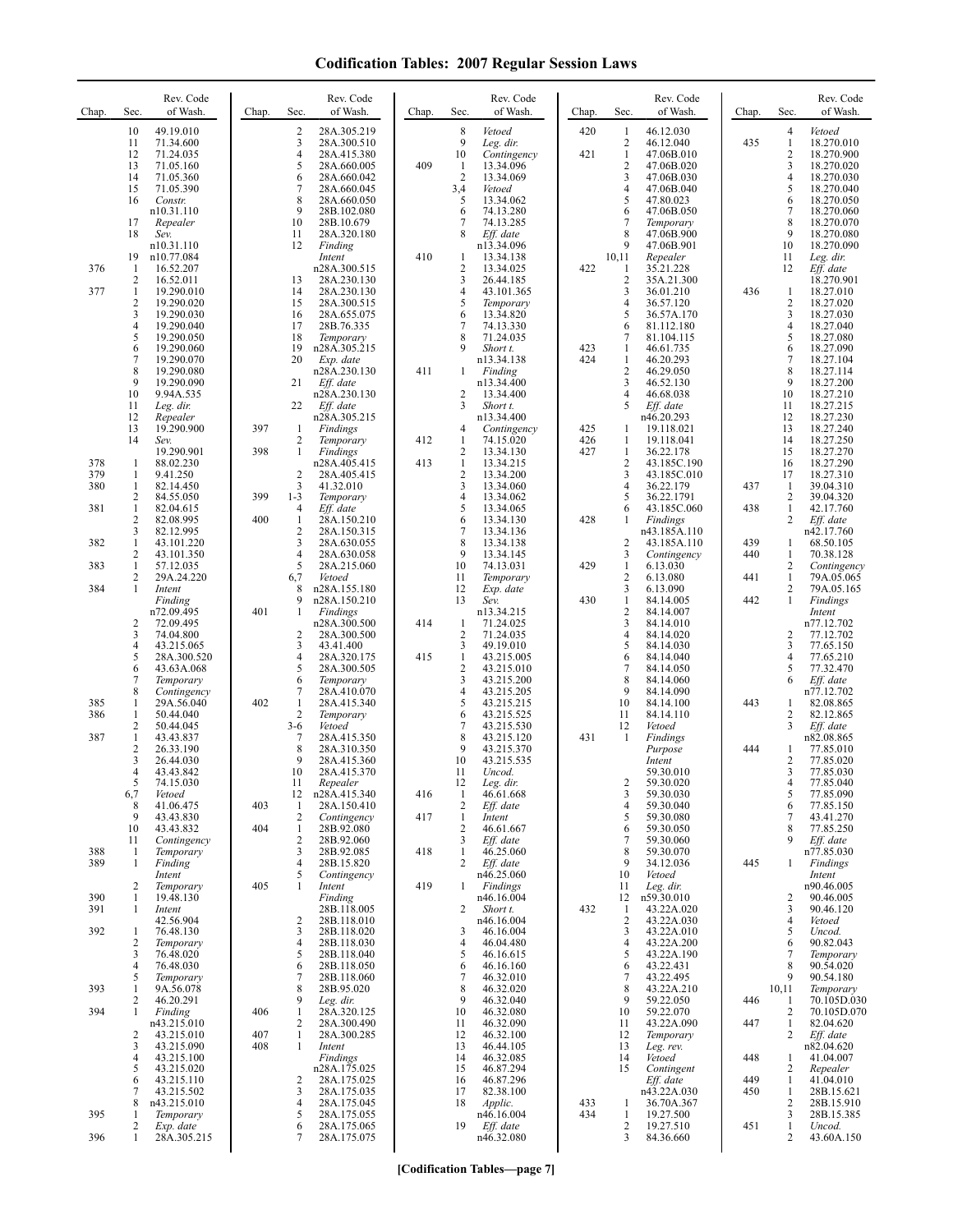| Chap.      | Sec.                                | Rev. Code<br>of Wash.                                                                          | Chap.      | Sec.                                                  | Rev. Code<br>of Wash.                                                                                           | Chap.      | Sec.                                            | Rev. Code<br>of Wash.                                                                 | Chap.      | Sec.                                                      | Rev. Code<br>of Wash.                                                                                      | Chap.      | Sec.                                       | Rev. Code<br>of Wash.                                                                                        |
|------------|-------------------------------------|------------------------------------------------------------------------------------------------|------------|-------------------------------------------------------|-----------------------------------------------------------------------------------------------------------------|------------|-------------------------------------------------|---------------------------------------------------------------------------------------|------------|-----------------------------------------------------------|------------------------------------------------------------------------------------------------------------|------------|--------------------------------------------|--------------------------------------------------------------------------------------------------------------|
|            | 10<br>11<br>12                      | 49.19.010<br>71.34.600<br>71.24.035                                                            |            | $\overline{2}$<br>3<br>$\overline{4}$<br>5            | 28A.305.219<br>28A.300.510<br>28A.415.380                                                                       | 409        | 8<br>9<br>10                                    | Vetoed<br>Leg. dir.<br>Contingency<br>13.34.096                                       | 420<br>421 | -1<br>$\overline{2}$<br>$\mathbf{1}$<br>$\overline{2}$    | 46.12.030<br>46.12.040<br>47.06B.010                                                                       | 435        | 4<br>$\mathbf{1}$<br>2                     | Vetoed<br>18.270.010<br>18.270.900                                                                           |
|            | 13<br>14<br>15<br>16<br>17<br>18    | 71.05.160<br>71.05.360<br>71.05.390<br>Constr.<br>n10.31.110<br>Repealer<br>Sev.<br>n10.31.110 |            | 6<br>7<br>8<br>9<br>10<br>11<br>12                    | 28A.660.005<br>28A.660.042<br>28A.660.045<br>28A.660.050<br>28B.102.080<br>28B.10.679<br>28A.320.180<br>Finding |            | -1<br>$\overline{2}$<br>3,4<br>5<br>6<br>7<br>8 | 13.34.069<br>Vetoed<br>13.34.062<br>74.13.280<br>74.13.285<br>Eff. date<br>n13.34.096 |            | 3<br>$\overline{4}$<br>5<br>6<br>$\overline{7}$<br>8<br>9 | 47.06B.020<br>47.06B.030<br>47.06B.040<br>47.80.023<br>47.06B.050<br>Temporary<br>47.06B.900<br>47.06B.901 |            | 3<br>4<br>5<br>6<br>$\tau$<br>8<br>9<br>10 | 18.270.020<br>18.270.030<br>18.270.040<br>18.270.050<br>18.270.060<br>18.270.070<br>18.270.080<br>18.270.090 |
| 376        | 19<br>$\mathbf{1}$<br>2             | n10.77.084<br>16.52.207<br>16.52.011                                                           |            | 13                                                    | Intent<br>n28A.300.515<br>28A.230.130                                                                           | 410        | 1<br>$\overline{c}$<br>3                        | 13.34.138<br>13.34.025<br>26.44.185                                                   | 422        | 10,11<br>1<br>$\overline{c}$                              | Repealer<br>35.21.228<br>35A.21.300                                                                        |            | 11<br>12                                   | Leg. dir.<br>Eff. date<br>18.270.901                                                                         |
| 377        | 1<br>$\overline{\mathbf{c}}$        | 19.290.010<br>19.290.020                                                                       |            | 14<br>15                                              | 28A.230.130<br>28A.300.515                                                                                      |            | 4<br>5                                          | 43.101.365<br>Temporary                                                               |            | 3<br>$\overline{4}$                                       | 36.01.210<br>36.57.120                                                                                     | 436        | 1<br>$\sqrt{2}$                            | 18.27.010<br>18.27.020                                                                                       |
|            | 3<br>4<br>5                         | 19.290.030<br>19.290.040<br>19.290.050                                                         |            | 16<br>17<br>18                                        | 28A.655.075<br>28B.76.335<br>Temporary                                                                          |            | 6<br>$\overline{7}$<br>8                        | 13.34.820<br>74.13.330<br>71.24.035                                                   |            | 5<br>6<br>$\overline{7}$                                  | 36.57A.170<br>81.112.180<br>81.104.115                                                                     |            | 3<br>4<br>5                                | 18.27.030<br>18.27.040<br>18.27.080                                                                          |
|            | 6<br>$\overline{7}$<br>8            | 19.290.060<br>19.290.070<br>19.290.080                                                         |            | 19<br>20                                              | n28A.305.215<br>Exp. date<br>n28A.230.130                                                                       | 411        | 9<br>1                                          | Short t.<br>n13.34.138<br>Finding                                                     | 423<br>424 | $\mathbf{1}$<br>$\mathbf{1}$<br>$\overline{2}$            | 46.61.735<br>46.20.293<br>46.29.050                                                                        |            | 6<br>$\tau$<br>8                           | 18.27.090<br>18.27.104<br>18.27.114                                                                          |
|            | 9<br>10<br>11                       | 19.290.090<br>9.94A.535<br>Leg. dir.                                                           |            | 21<br>22                                              | Eff. date<br>n28A.230.130<br>Eff. date                                                                          |            | 2<br>3                                          | n13.34.400<br>13.34.400<br>Short t.                                                   |            | 3<br>$\overline{4}$<br>5                                  | 46.52.130<br>46.68.038<br>Eff. date                                                                        |            | 9<br>10<br>11                              | 18.27.200<br>18.27.210<br>18.27.215                                                                          |
|            | 12<br>13<br>14                      | Repealer<br>19.290.900<br>Sev.                                                                 | 397        | 1<br>2                                                | n28A.305.215<br>Findings<br>Temporary                                                                           | 412        | 4<br>1                                          | n13.34.400<br>Contingency<br>74.15.020                                                | 425<br>426 | 1<br>1                                                    | n46.20.293<br>19.118.021<br>19.118.041                                                                     |            | 12<br>13<br>14                             | 18.27.230<br>18.27.240<br>18.27.250                                                                          |
| 378<br>379 | $\mathbf{1}$<br>1                   | 19.290.901<br>88.02.230<br>9.41.250                                                            | 398        | $\mathbf{1}$<br>$\overline{2}$                        | Findings<br>n28A.405.415<br>28A.405.415                                                                         | 413        | 2<br>$\mathbf{1}$<br>$\overline{2}$             | 13.34.130<br>13.34.215<br>13.34.200                                                   | 427        | $\mathbf{1}$<br>$\overline{2}$<br>3                       | 36.22.178<br>43.185C.190<br>43.185C.010                                                                    |            | 15<br>16<br>17                             | 18.27.270<br>18.27.290<br>18.27.310                                                                          |
| 380<br>381 | $\mathbf{1}$<br>2<br>$\mathbf{1}$   | 82.14.450<br>84.55.050<br>82.04.615                                                            | 399        | 3<br>$1 - 3$<br>4                                     | 41.32.010<br>Temporary<br>Eff. date                                                                             |            | 3<br>4<br>5                                     | 13.34.060<br>13.34.062<br>13.34.065                                                   |            | $\overline{4}$<br>5<br>6                                  | 36.22.179<br>36.22.1791<br>43.185C.060                                                                     | 437<br>438 | -1<br>2<br>$\mathbf{1}$                    | 39.04.310<br>39.04.320<br>42.17.760                                                                          |
| 382        | $\overline{c}$<br>3<br>1            | 82.08.995<br>82.12.995<br>43.101.220                                                           | 400        | 1<br>$\overline{2}$<br>3                              | 28A.150.210<br>28A.150.315<br>28A.630.055                                                                       |            | 6<br>7<br>8                                     | 13.34.130<br>13.34.136<br>13.34.138                                                   | 428        | 1<br>$\overline{2}$                                       | Findings<br>n43.185A.110<br>43.185A.110                                                                    | 439        | 2<br>1                                     | Eff. date<br>n42.17.760<br>68.50.105                                                                         |
| 383        | 2<br>1<br>2                         | 43.101.350<br>57.12.035<br>29A.24.220                                                          |            | $\overline{4}$<br>5<br>6,7                            | 28A.630.058<br>28A.215.060<br>Vetoed                                                                            |            | 9<br>10<br>11                                   | 13.34.145<br>74.13.031<br>Temporary                                                   | 429        | 3<br>$\mathbf{1}$<br>$\sqrt{2}$                           | Contingency<br>6.13.030<br>6.13.080                                                                        | 440<br>441 | $\mathbf{1}$<br>2<br>$\mathbf{1}$          | 70.38.128<br>Contingency<br>79A.05.065                                                                       |
| 384        | 1                                   | Intent<br>Finding<br>n72.09.495                                                                | 401        | 8<br>9<br>1                                           | n28A.155.180<br>n28A.150.210<br>Findings                                                                        |            | 12<br>13                                        | Exp. date<br>Sev.<br>n13.34.215                                                       | 430        | 3<br>$\mathbf{1}$<br>$\sqrt{2}$                           | 6.13.090<br>84.14.005<br>84.14.007                                                                         | 442        | $\overline{2}$<br>$\mathbf{1}$             | 79A.05.165<br>Findings<br>Intent                                                                             |
|            | $\overline{c}$<br>3<br>4            | 72.09.495<br>74.04.800<br>43.215.065                                                           |            | 2<br>3                                                | n28A.300.500<br>28A.300.500<br>43.41.400                                                                        | 414        | $\mathbf{1}$<br>$\overline{c}$<br>3             | 71.24.025<br>71.24.035<br>49.19.010                                                   |            | 3<br>$\overline{4}$<br>5                                  | 84.14.010<br>84.14.020<br>84.14.030                                                                        |            | 2<br>3                                     | n77.12.702<br>77.12.702<br>77.65.150                                                                         |
|            | 5<br>6<br>7                         | 28A.300.520<br>43.63A.068<br>Temporary                                                         |            | $\overline{4}$<br>5<br>6                              | 28A.320.175<br>28A.300.505<br>Temporary                                                                         | 415        | 1<br>$\overline{\mathbf{c}}$<br>3               | 43.215.005<br>43.215.010<br>43.215.200                                                |            | 6<br>$\tau$<br>8<br>9                                     | 84.14.040<br>84.14.050<br>84.14.060                                                                        |            | 4<br>5<br>6                                | 77.65.210<br>77.32.470<br>Eff. date                                                                          |
| 385<br>386 | 8<br>1<br>1                         | Contingency<br>29A.56.040<br>50.44.040                                                         | 402        | 7<br>$\mathbf{1}$<br>$\overline{2}$                   | 28A.410.070<br>28A.415.340<br>Temporary                                                                         |            | 4<br>5<br>6                                     | 43.215.205<br>43.215.215<br>43.215.525                                                |            | 10<br>11                                                  | 84.14.090<br>84.14.100<br>84.14.110                                                                        | 443        | 1<br>2                                     | n77.12.702<br>82.08.865<br>82.12.865                                                                         |
| 387        | 2<br>$\mathbf{1}$<br>$\overline{c}$ | 50.44.045<br>43.43.837<br>26.33.190                                                            |            | $3-6$<br>7<br>8<br>9                                  | Vetoed<br>28A.415.350<br>28A.310.350                                                                            |            | 7<br>8<br>9                                     | 43.215.530<br>43.215.120<br>43.215.370                                                | 431        | 12<br>-1                                                  | Vetoed<br>Findings<br>Purpose                                                                              | 444        | 3<br>1                                     | Eff. date<br>n82.08.865<br>77.85.010                                                                         |
|            | 3<br>4<br>Ć                         | 26.44.030<br>43.43.842<br>74.15.030                                                            |            | 10<br>11                                              | 28A.415.360<br>28A.415.370<br>Repealer                                                                          |            | 10<br>11<br>12                                  | 43.215.535<br>Uncod.<br>Leg. dir.                                                     |            | $\overline{c}$                                            | Intent<br>59.30.010<br>59.30.020                                                                           |            | 2<br>3<br>4                                | 77.85.020<br>77.85.030<br>77.85.040                                                                          |
|            | 6,7<br>8<br>9                       | Vetoed<br>41.06.475<br>43.43.830                                                               | 403<br>404 | 12<br>1<br>$\overline{2}$                             | n28A.415.340<br>28A.150.410<br>Contingency                                                                      | 416<br>417 | $\mathbf{1}$<br>$\overline{c}$<br>1             | 46.61.668<br>Eff. date<br>Intent<br>46.61.667                                         |            | $\mathfrak{Z}$<br>$\overline{4}$<br>5                     | 59.30.030<br>59.30.040<br>59.30.080                                                                        |            | 5<br>6<br>7                                | 77.85.090<br>77.85.150<br>43.41.270                                                                          |
| 388<br>389 | 10<br>11<br>-1<br>1                 | 43.43.832<br>Contingency<br>Temporary<br>Finding                                               |            | $\mathbf{1}$<br>$\overline{2}$<br>3<br>$\overline{4}$ | 28B.92.080<br>28B.92.060<br>28B.92.085<br>28B.15.820                                                            | 418        | 2<br>3<br>1<br>2                                | Eff. date<br>46.25.060<br>Eff. date                                                   |            | 6<br>$\overline{7}$<br>8<br>9                             | 59.30.050<br>59.30.060<br>59.30.070<br>34.12.036                                                           | 445        | 8<br>9<br>1                                | 77.85.250<br>Eff. date<br>n77.85.030<br>Findings                                                             |
| 390        | $\overline{c}$<br>1                 | Intent<br>Temporary<br>19.48.130                                                               | 405        | 5<br>1                                                | Contingency<br>Intent<br>Finding                                                                                | 419        | 1                                               | n46.25.060<br>Findings<br>n46.16.004                                                  |            | 10<br>11<br>12                                            | Vetoed<br>Leg. dir.<br>n59.30.010                                                                          |            | 2                                          | Intent<br>n90.46.005<br>90.46.005                                                                            |
| 391<br>392 | 1<br>1                              | Intent<br>42.56.904<br>76.48.130                                                               |            | 2<br>3                                                | 28B.118.005<br>28B.118.010<br>28B.118.020                                                                       |            | 2<br>3                                          | Short t.<br>n46.16.004<br>46.16.004                                                   | 432        | -1<br>$\overline{2}$<br>3                                 | 43.22A.020<br>43.22A.030<br>43.22A.010                                                                     |            | 3<br>4<br>5                                | 90.46.120<br>Vetoed<br>Uncod.                                                                                |
|            | 2<br>3<br>4                         | Temporary<br>76.48.020<br>76.48.030                                                            |            | 4<br>5<br>6                                           | 28B.118.030<br>28B.118.040<br>28B.118.050                                                                       |            | 4<br>5<br>6                                     | 46.04.480<br>46.16.615<br>46.16.160                                                   |            | $\overline{4}$<br>5<br>6                                  | 43.22A.200<br>43.22A.190<br>43.22.431                                                                      |            | 6<br>7<br>8                                | 90.82.043<br>Temporary<br>90.54.020                                                                          |
| 393        | 5<br>1<br>2                         | Temporary<br>9A.56.078<br>46.20.291                                                            |            | 7<br>8<br>9                                           | 28B.118.060<br>28B.95.020<br>Leg. dir.                                                                          |            | 7<br>8<br>9                                     | 46.32.010<br>46.32.020<br>46.32.040                                                   |            | 7<br>8<br>9                                               | 43.22.495<br>43.22A.210<br>59.22.050                                                                       | 446        | 9<br>10,11                                 | 90.54.180<br>Temporary<br>70.105D.030                                                                        |
| 394        | 1<br>$\overline{c}$                 | Finding<br>n43.215.010<br>43.215.010                                                           | 406<br>407 | $\mathbf{1}$<br>2<br>$\mathbf{1}$                     | 28A.320.125<br>28A.300.490<br>28A.300.285                                                                       |            | 10<br>11<br>12                                  | 46.32.080<br>46.32.090<br>46.32.100                                                   |            | 10<br>11<br>12                                            | 59.22.070<br>43.22A.090<br>Temporary                                                                       | 447        | 2<br>$\mathbf{1}$<br>$\overline{2}$        | 70.105D.070<br>82.04.620<br>Eff. date                                                                        |
|            | 3<br>4<br>5                         | 43.215.090<br>43.215.100<br>43.215.020                                                         | 408        | 1                                                     | Intent<br>Findings<br>n28A.175.025                                                                              |            | 13<br>14<br>15                                  | 46.44.105<br>46.32.085<br>46.87.294                                                   |            | 13<br>14<br>15                                            | Leg. rev.<br>Vetoed<br>Contingent                                                                          | 448        | 1<br>2                                     | n82.04.620<br>41.04.007<br>Repealer                                                                          |
|            | 6<br>7<br>8                         | 43.215.110<br>43.215.502<br>n43.215.010                                                        |            | 2<br>3<br>4                                           | 28A.175.025<br>28A.175.035<br>28A.175.045                                                                       |            | 16<br>17<br>18                                  | 46.87.296<br>82.38.100<br>Applic.                                                     | 433        | 1                                                         | Eff. date<br>n43.22A.030<br>36.70A.367                                                                     | 449<br>450 | 1<br>$\mathbf{1}$<br>2                     | 41.04.010<br>28B.15.621<br>28B.15.910                                                                        |
| 395<br>396 | 1<br>2<br>1                         | Temporary<br>Exp. date<br>28A.305.215                                                          |            | 5<br>6<br>7                                           | 28A.175.055<br>28A.175.065<br>28A.175.075                                                                       |            | 19                                              | n46.16.004<br>Eff. date<br>n46.32.080                                                 | 434        | 1<br>$\overline{2}$<br>3                                  | 19.27.500<br>19.27.510<br>84.36.660                                                                        | 451        | 3<br>$\mathbf{1}$<br>2                     | 28B.15.385<br>Uncod.<br>43.60A.150                                                                           |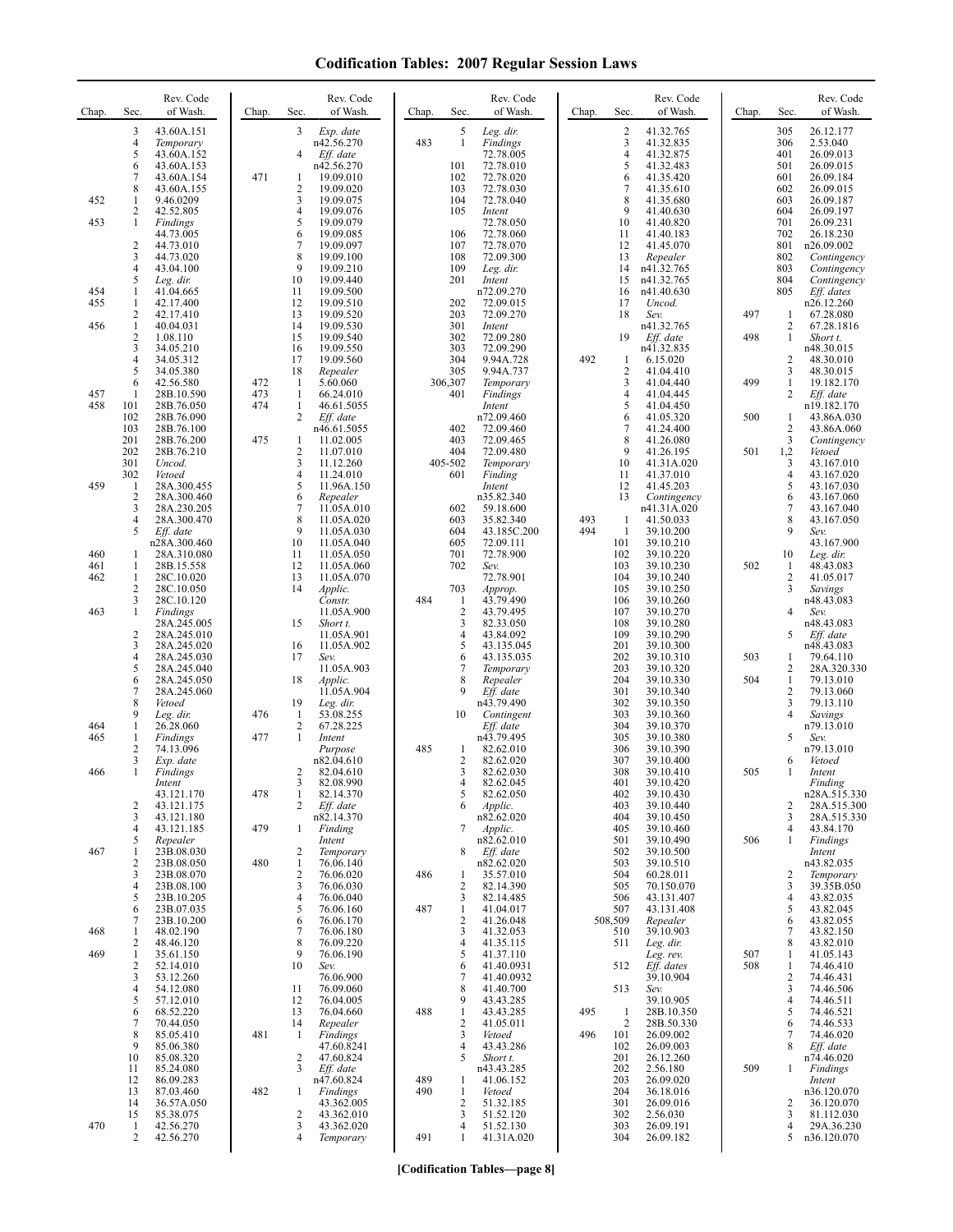| Chap.      | Sec.                           | Rev. Code<br>of Wash.        | Chap.      | Rev. Code<br>Sec.<br>of Wash.                 | Chap.      | Sec.                           | Rev. Code<br>of Wash.    | Chap. | Sec.                | Rev. Code<br>of Wash.      | Chap.      | Sec.                           | Rev. Code<br>of Wash.       |
|------------|--------------------------------|------------------------------|------------|-----------------------------------------------|------------|--------------------------------|--------------------------|-------|---------------------|----------------------------|------------|--------------------------------|-----------------------------|
|            | 3<br>$\overline{4}$            | 43.60A.151<br>Temporary      |            | 3<br>Exp. date<br>n42.56.270                  | 483        | 5<br>$\mathbf{1}$              | Leg. dir.<br>Findings    |       | $\overline{2}$<br>3 | 41.32.765<br>41.32.835     |            | 305<br>306                     | 26.12.177<br>2.53.040       |
|            | 5<br>6                         | 43.60A.152<br>43.60A.153     |            | 4<br>Eff. date<br>n42.56.270                  |            | 101                            | 72.78.005<br>72.78.010   |       | $\overline{4}$<br>5 | 41.32.875<br>41.32.483     |            | 401<br>501                     | 26.09.013<br>26.09.015      |
|            | 7                              | 43.60A.154                   | 471        | 19.09.010<br>1                                |            | 102                            | 72.78.020                |       | 6                   | 41.35.420                  |            | 601                            | 26.09.184                   |
| 452        | 8<br>1                         | 43.60A.155<br>9.46.0209      |            | $\overline{c}$<br>19.09.020<br>3<br>19.09.075 |            | 103<br>104                     | 72.78.030<br>72.78.040   |       | $\overline{7}$<br>8 | 41.35.610<br>41.35.680     |            | 602<br>603                     | 26.09.015<br>26.09.187      |
| 453        | 2<br>1                         | 42.52.805<br>Findings        |            | 4<br>19.09.076<br>5<br>19.09.079              |            | 105                            | Intent<br>72.78.050      |       | 9<br>10             | 41.40.630<br>41.40.820     |            | 604<br>701                     | 26.09.197<br>26.09.231      |
|            | $\overline{c}$                 | 44.73.005<br>44.73.010       |            | 6<br>19.09.085<br>7<br>19.09.097              |            | 106<br>107                     | 72.78.060<br>72.78.070   |       | 11<br>12            | 41.40.183<br>41.45.070     |            | 702<br>801                     | 26.18.230<br>n26.09.002     |
|            | 3<br>4                         | 44.73.020<br>43.04.100       |            | 8<br>19.09.100<br>9<br>19.09.210              |            | 108<br>109                     | 72.09.300<br>Leg. dir.   |       | 13<br>14            | Repealer<br>n41.32.765     |            | 802<br>803                     | Contingency<br>Contingency  |
| 454        | 5<br>1                         | Leg. dir.<br>41.04.665       |            | 10<br>19.09.440<br>11<br>19.09.500            |            | 201                            | Intent<br>n72.09.270     |       | 15<br>16            | n41.32.765<br>n41.40.630   |            | 804<br>805                     | Contingency<br>Eff. dates   |
| 455        | 1<br>2                         | 42.17.400<br>42.17.410       |            | 12<br>19.09.510<br>13<br>19.09.520            |            | 202<br>203                     | 72.09.015<br>72.09.270   |       | 17<br>18            | Uncod.<br>Sev.             | 497        | 1                              | n26.12.260<br>67.28.080     |
| 456        | $\mathbf{1}$<br>2              | 40.04.031                    |            | 14<br>19.09.530<br>15                         |            | 301<br>302                     | Intent<br>72.09.280      |       | 19                  | n41.32.765                 | 498        | $\overline{c}$<br>$\mathbf{1}$ | 67.28.1816                  |
|            | 3                              | 1.08.110<br>34.05.210        |            | 19.09.540<br>16<br>19.09.550                  |            | 303                            | 72.09.290                |       |                     | Eff. date<br>n41.32.835    |            |                                | Short t.<br>n48.30.015      |
|            | 4<br>5                         | 34.05.312<br>34.05.380       |            | 17<br>19.09.560<br>18<br>Repealer             |            | 304<br>305                     | 9.94A.728<br>9.94A.737   | 492   | 1<br>$\overline{c}$ | 6.15.020<br>41.04.410      |            | 2<br>3                         | 48.30.010<br>48.30.015      |
| 457        | 6<br>1                         | 42.56.580<br>28B.10.590      | 472<br>473 | 5.60.060<br>-1<br>1<br>66.24.010              |            | 306,307<br>401                 | Temporary<br>Findings    |       | 3<br>4              | 41.04.440<br>41.04.445     | 499        | $\mathbf{1}$<br>2              | 19.182.170<br>Eff. date     |
| 458        | 101<br>102                     | 28B.76.050<br>28B.76.090     | 474        | $\mathbf{1}$<br>46.61.5055<br>2<br>Eff. date  |            |                                | Intent<br>n72.09.460     |       | 5<br>6              | 41.04.450<br>41.05.320     | 500        | 1                              | n19.182.170<br>43.86A.030   |
|            | 103<br>201                     | 28B.76.100<br>28B.76.200     | 475        | n46.61.5055<br>11.02.005<br>1                 |            | 402<br>403                     | 72.09.460<br>72.09.465   |       | 7<br>8              | 41.24.400<br>41.26.080     |            | $\overline{c}$<br>3            | 43.86A.060<br>Contingency   |
|            | 202<br>301                     | 28B.76.210<br>Uncod.         |            | 2<br>11.07.010<br>3<br>11.12.260              |            | 404<br>405-502                 | 72.09.480<br>Temporary   |       | 9<br>10             | 41.26.195<br>41.31A.020    | 501        | 1,2<br>3                       | Vetoed<br>43.167.010        |
| 459        | 302<br>-1                      | Vetoed<br>28A.300.455        |            | 4<br>11.24.010<br>5<br>11.96A.150             |            | 601                            | Finding<br>Intent        |       | 11<br>12            | 41.37.010<br>41.45.203     |            | $\overline{4}$<br>5            | 43.167.020<br>43.167.030    |
|            | 2<br>3                         | 28A.300.460<br>28A.230.205   |            | 6<br>Repealer<br>7<br>11.05A.010              |            | 602                            | n35.82.340<br>59.18.600  |       | 13                  | Contingency<br>n41.31A.020 |            | 6<br>7                         | 43.167.060<br>43.167.040    |
|            | 4                              | 28A.300.470                  |            | 8<br>11.05A.020<br>9<br>11.05A.030            |            | 603                            | 35.82.340                | 493   | 1                   | 41.50.033                  |            | 8<br>9                         | 43.167.050                  |
|            | 5                              | Eff. date<br>n28A.300.460    |            | 10<br>11.05A.040                              |            | 604<br>605                     | 43.185C.200<br>72.09.111 | 494   | 1<br>101            | 39.10.200<br>39.10.210     |            |                                | Sev.<br>43.167.900          |
| 460<br>461 | 1<br>-1                        | 28A.310.080<br>28B.15.558    |            | 11<br>11.05A.050<br>12<br>11.05A.060          |            | 701<br>702                     | 72.78.900<br>Sev.        |       | 102<br>103          | 39.10.220<br>39.10.230     | 502        | 10<br>1                        | Leg. dir.<br>48.43.083      |
| 462        | $\mathbf{1}$<br>$\overline{2}$ | 28C.10.020<br>28C.10.050     |            | 13<br>11.05A.070<br>14<br>Applic.             |            | 703                            | 72.78.901<br>Approp.     |       | 104<br>105          | 39.10.240<br>39.10.250     |            | 2<br>3                         | 41.05.017<br>Savings        |
| 463        | 3<br>1                         | 28C.10.120<br>Findings       |            | Constr.<br>11.05A.900                         | 484        | $\mathbf{1}$<br>$\overline{2}$ | 43.79.490<br>43.79.495   |       | 106<br>107          | 39.10.260<br>39.10.270     |            | $\overline{4}$                 | n48.43.083<br>Sev.          |
|            | 2                              | 28A.245.005<br>28A.245.010   |            | 15<br>Short t.<br>11.05A.901                  |            | 3<br>$\overline{4}$            | 82.33.050<br>43.84.092   |       | 108<br>109          | 39.10.280<br>39.10.290     |            | 5                              | n48.43.083<br>Eff. date     |
|            | 3<br>4                         | 28A.245.020<br>28A.245.030   |            | 16<br>11.05A.902<br>17<br>Sev.                |            | 5<br>6                         | 43.135.045<br>43.135.035 |       | 201<br>202          | 39.10.300<br>39.10.310     | 503        | 1                              | n48.43.083<br>79.64.110     |
|            | 5<br>6                         | 28A.245.040<br>28A.245.050   |            | 11.05A.903<br>18<br>Applic.                   |            | 7<br>8                         | Temporary<br>Repealer    |       | 203<br>204          | 39.10.320<br>39.10.330     | 504        | 2<br>$\mathbf{1}$              | 28A.320.330<br>79.13.010    |
|            | 7<br>8                         | 28A.245.060<br>Vetoed        |            | 11.05A.904<br>19<br>Leg. dir.                 |            | 9                              | Eff. date<br>n43.79.490  |       | 301<br>302          | 39.10.340<br>39.10.350     |            | $\overline{c}$<br>3            | 79.13.060<br>79.13.110      |
| 464        | 9<br>$\mathbf{1}$              | Leg. dir.<br>26.28.060       | 476        | 1<br>53.08.255<br>2<br>67.28.225              |            | 10                             | Contingent<br>Eff. date  |       | 303<br>304          | 39.10.360<br>39.10.370     |            | 4                              | Savings<br>n79.13.010       |
| 465        | -1<br>2                        | <b>Findings</b><br>74.13.096 | 477        | 1<br>Intent                                   | 485        |                                | n43.79.495               |       | 305<br>306          | 39.10.380                  |            | 5                              | Sev.<br>n79.13.010          |
|            | 3                              | Exp. date                    |            | Purpose<br>n82.04.610                         |            | 1<br>$\overline{2}$            | 82.62.010<br>82.62.020   |       | 307                 | 39.10.390<br>39.10.400     |            | 6                              | Vetoed                      |
| 466        | 1                              | Findings<br>Intent           |            | 2<br>82.04.610<br>82.08.990<br>3              |            | 3<br>4                         | 82.62.030<br>82.62.045   |       | 308<br>401          | 39.10.410<br>39.10.420     | 505        | 1                              | Intent<br>Finding           |
|            | $\overline{2}$                 | 43.121.170<br>43.121.175     | 478        | 1<br>82.14.370<br>2<br>Eff. date              |            | 5<br>6                         | 82.62.050<br>Applic.     |       | 402<br>403          | 39.10.430<br>39.10.440     |            | 2                              | n28A.515.330<br>28A.515.300 |
|            | 3<br>4                         | 43.121.180<br>43.121.185     | 479        | n82.14.370<br>Finding<br>1                    |            | 7                              | n82.62.020<br>Applic.    |       | 404<br>405          | 39.10.450<br>39.10.460     |            | 3<br>4                         | 28A.515.330<br>43.84.170    |
| 467        | 5<br>1                         | Repealer<br>23B.08.030       |            | Intent<br>2<br>Temporary                      |            | 8                              | n82.62.010<br>Eff. date  |       | 501<br>502          | 39.10.490<br>39.10.500     | 506        | 1                              | Findings<br>Intent          |
|            | 2<br>3                         | 23B.08.050<br>23B.08.070     | 480        | $\mathbf{1}$<br>76.06.140<br>2<br>76.06.020   | 486        | 1                              | n82.62.020<br>35.57.010  |       | 503<br>504          | 39.10.510<br>60.28.011     |            | 2                              | n43.82.035<br>Temporary     |
|            | 4<br>5                         | 23B.08.100<br>23B.10.205     |            | 3<br>76.06.030<br>76.06.040<br>4              |            | $\overline{\mathbf{c}}$<br>3   | 82.14.390<br>82.14.485   |       | 505<br>506          | 70.150.070<br>43.131.407   |            | 3<br>4                         | 39.35B.050<br>43.82.035     |
|            | 6<br>7                         | 23B.07.035<br>23B.10.200     |            | 5<br>76.06.160<br>6<br>76.06.170              | 487        | 1<br>$\overline{2}$            | 41.04.017<br>41.26.048   |       | 507<br>508,509      | 43.131.408<br>Repealer     |            | 5<br>6                         | 43.82.045<br>43.82.055      |
| 468        | $\mathbf{1}$<br>2              | 48.02.190<br>48.46.120       |            | 7<br>76.06.180<br>8<br>76.09.220              |            | 3<br>$\overline{4}$            | 41.32.053<br>41.35.115   |       | 510<br>511          | 39.10.903<br>Leg. dir.     |            | 7<br>8                         | 43.82.150<br>43.82.010      |
| 469        | 1<br>2                         | 35.61.150<br>52.14.010       |            | 9<br>76.06.190<br>10<br>Sev.                  |            | 5<br>6                         | 41.37.110<br>41.40.0931  |       | 512                 | Leg. rev.<br>Eff. dates    | 507<br>508 | 1<br>1                         | 41.05.143<br>74.46.410      |
|            | 3<br>4                         | 53.12.260<br>54.12.080       |            | 76.06.900<br>76.09.060                        |            | 7<br>8                         | 41.40.0932<br>41.40.700  |       |                     | 39.10.904                  |            | 2<br>3                         | 74.46.431<br>74.46.506      |
|            | 5                              | 57.12.010                    |            | 11<br>12<br>76.04.005                         |            | 9                              | 43.43.285                |       | 513                 | Sev.<br>39.10.905          |            | $\overline{4}$                 | 74.46.511                   |
|            | 6<br>7                         | 68.52.220<br>70.44.050       |            | 13<br>76.04.660<br>14<br>Repealer             | 488        | $\mathbf{1}$<br>$\overline{2}$ | 43.43.285<br>41.05.011   | 495   | $\mathbf{1}$<br>2   | 28B.10.350<br>28B.50.330   |            | 5<br>6                         | 74.46.521<br>74.46.533      |
|            | 8<br>9                         | 85.05.410<br>85.06.380       | 481        | Findings<br>1<br>47.60.8241                   |            | 3<br>$\overline{4}$            | Vetoed<br>43.43.286      | 496   | 101<br>102          | 26.09.002<br>26.09.003     |            | 7<br>8                         | 74.46.020<br>Eff. date      |
|            | 10<br>11                       | 85.08.320<br>85.24.080       |            | 47.60.824<br>2<br>3<br>Eff. date              |            | 5                              | Short t.<br>n43.43.285   |       | 201<br>202          | 26.12.260<br>2.56.180      | 509        | $\mathbf{1}$                   | n74.46.020<br>Findings      |
|            | 12<br>13                       | 86.09.283<br>87.03.460       | 482        | n47.60.824<br>Findings<br>1                   | 489<br>490 | 1<br>$\mathbf{1}$              | 41.06.152<br>Vetoed      |       | 203<br>204          | 26.09.020<br>36.18.016     |            |                                | Intent<br>n36.120.070       |
|            | 14<br>15                       | 36.57A.050<br>85.38.075      |            | 43.362.005<br>2<br>43.362.010                 |            | $\overline{c}$<br>3            | 51.32.185<br>51.52.120   |       | 301<br>302          | 26.09.016<br>2.56.030      |            | 2<br>3                         | 36.120.070<br>81.112.030    |
| 470        | -1<br>2                        | 42.56.270<br>42.56.270       |            | 3<br>43.362.020<br>4<br>Temporary             | 491        | 4<br>1                         | 51.52.130<br>41.31A.020  |       | 303<br>304          | 26.09.191<br>26.09.182     |            | 4<br>5                         | 29A.36.230<br>n36.120.070   |
|            |                                |                              |            |                                               |            |                                |                          |       |                     |                            |            |                                |                             |

**[Codification Tables—page 8]**